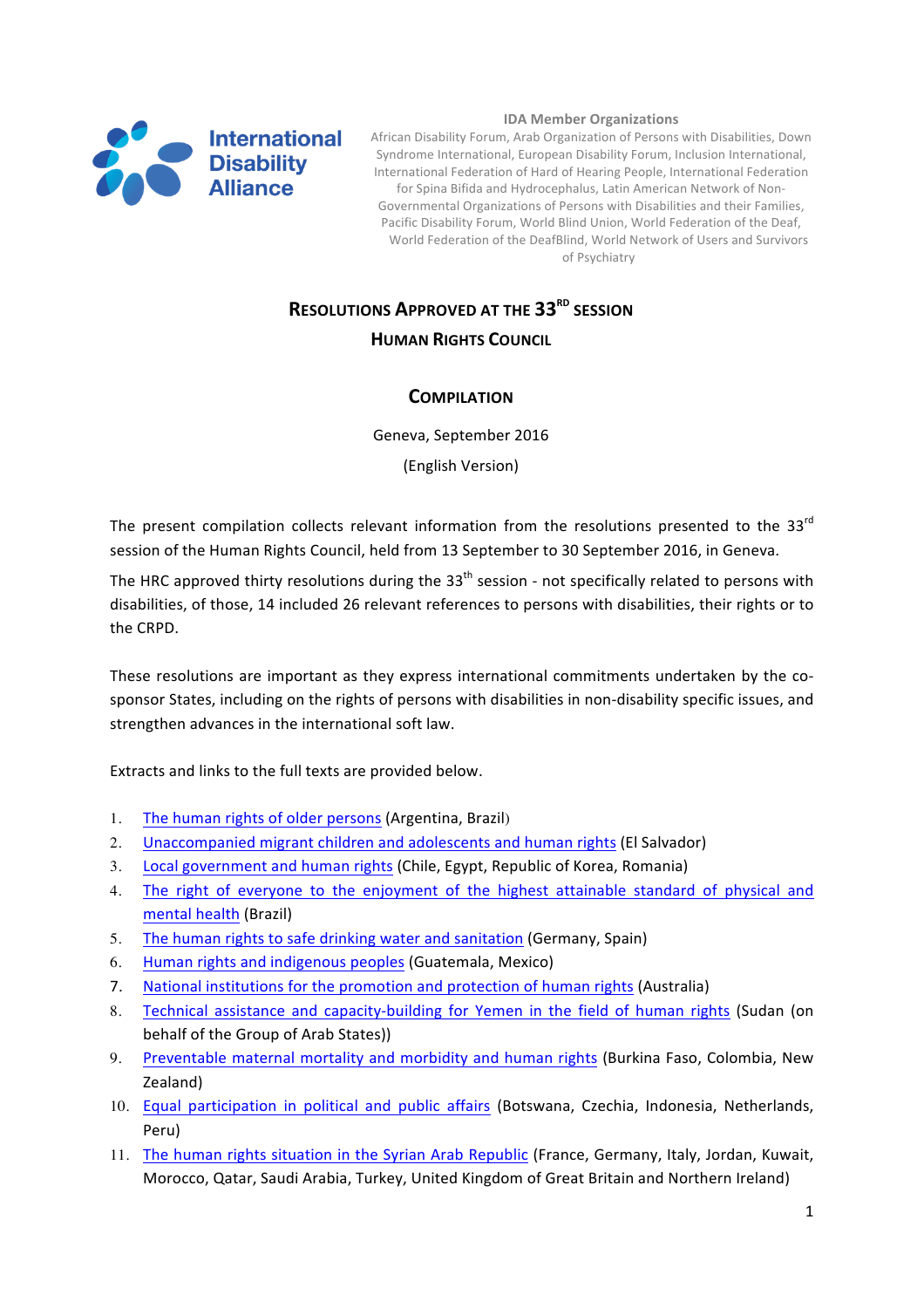

#### **IDA Member Organizations**

International African Disability Forum, Arab Organization of Persons with Disabilities, Down Syndrome International, European Disability Forum, Inclusion International, International Federation of Hard of Hearing People, International Federation for Spina Bifida and Hydrocephalus, Latin American Network of Non-Governmental Organizations of Persons with Disabilities and their Families, Pacific Disability Forum, World Blind Union, World Federation of the Deaf, World Federation of the DeafBlind, World Network of Users and Survivors of Psychiatry

# **RESOLUTIONS APPROVED AT THE 33<sup>RD</sup> SESSION**

## **HUMAN RIGHTS COUNCIL**

## **COMPILATION**

Geneva, September 2016 (English Version)

The present compilation collects relevant information from the resolutions presented to the 33 $^{rd}$ session of the Human Rights Council, held from 13 September to 30 September 2016, in Geneva.

The HRC approved thirty resolutions during the  $33<sup>th</sup>$  session - not specifically related to persons with disabilities, of those, 14 included 26 relevant references to persons with disabilities, their rights or to the CRPD.

These resolutions are important as they express international commitments undertaken by the cosponsor States, including on the rights of persons with disabilities in non-disability specific issues, and strengthen advances in the international soft law.

Extracts and links to the full texts are provided below.

- 1. The human rights of older persons (Argentina, Brazil)
- 2. Unaccompanied migrant children and adolescents and human rights (El Salvador)
- 3. Local government and human rights (Chile, Egypt, Republic of Korea, Romania)
- 4. The right of everyone to the enjoyment of the highest attainable standard of physical and mental health (Brazil)
- 5. The human rights to safe drinking water and sanitation (Germany, Spain)
- 6. Human rights and indigenous peoples (Guatemala, Mexico)
- 7. National institutions for the promotion and protection of human rights (Australia)
- 8. Technical assistance and capacity-building for Yemen in the field of human rights (Sudan (on behalf of the Group of Arab States))
- 9. Preventable maternal mortality and morbidity and human rights (Burkina Faso, Colombia, New Zealand)
- 10. Equal participation in political and public affairs (Botswana, Czechia, Indonesia, Netherlands, Peru)
- 11. The human rights situation in the Syrian Arab Republic (France, Germany, Italy, Jordan, Kuwait, Morocco, Qatar, Saudi Arabia, Turkey, United Kingdom of Great Britain and Northern Ireland)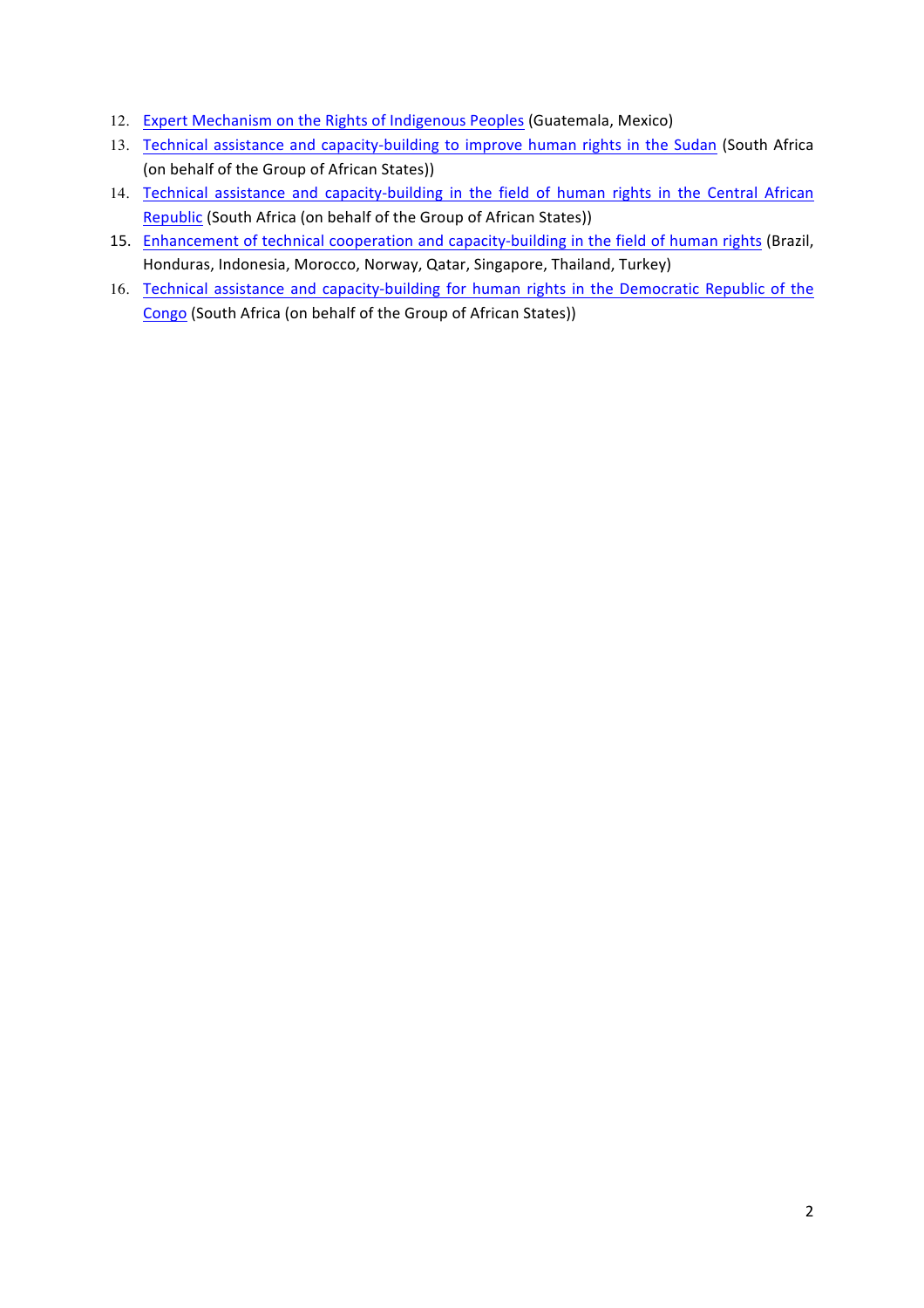- 12. Expert Mechanism on the Rights of Indigenous Peoples (Guatemala, Mexico)
- 13. Technical assistance and capacity-building to improve human rights in the Sudan (South Africa (on behalf of the Group of African States))
- 14. Technical assistance and capacity-building in the field of human rights in the Central African Republic (South Africa (on behalf of the Group of African States))
- 15. Enhancement of technical cooperation and capacity-building in the field of human rights (Brazil, Honduras, Indonesia, Morocco, Norway, Qatar, Singapore, Thailand, Turkey)
- 16. Technical assistance and capacity-building for human rights in the Democratic Republic of the Congo (South Africa (on behalf of the Group of African States))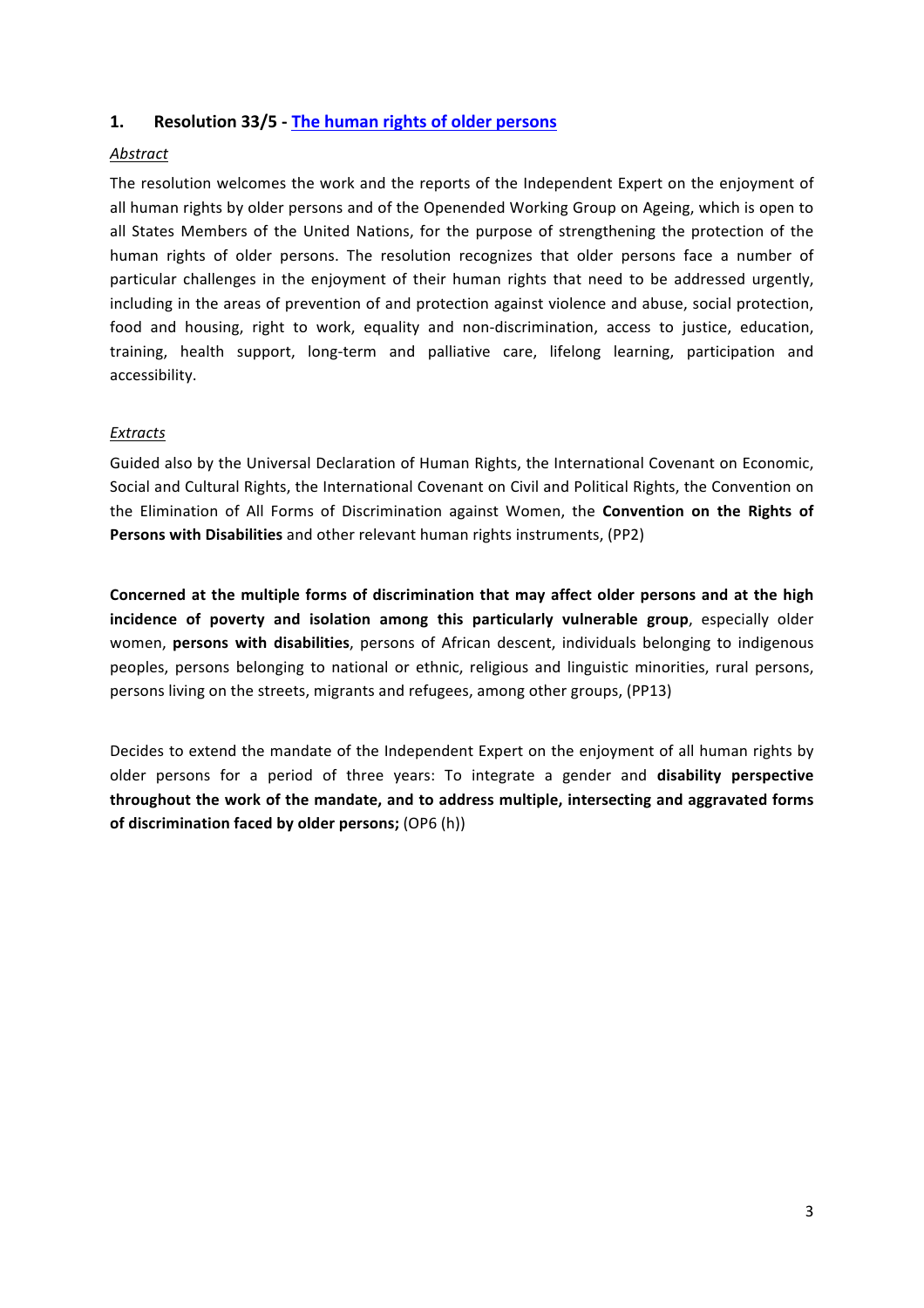## 1. **Resolution 33/5** The human rights of older persons

## *Abstract*

The resolution welcomes the work and the reports of the Independent Expert on the enjoyment of all human rights by older persons and of the Openended Working Group on Ageing, which is open to all States Members of the United Nations, for the purpose of strengthening the protection of the human rights of older persons. The resolution recognizes that older persons face a number of particular challenges in the enjoyment of their human rights that need to be addressed urgently, including in the areas of prevention of and protection against violence and abuse, social protection, food and housing, right to work, equality and non-discrimination, access to justice, education, training, health support, long-term and palliative care, lifelong learning, participation and accessibility.

## *Extracts*

Guided also by the Universal Declaration of Human Rights, the International Covenant on Economic, Social and Cultural Rights, the International Covenant on Civil and Political Rights, the Convention on the Elimination of All Forms of Discrimination against Women, the **Convention on the Rights of Persons with Disabilities** and other relevant human rights instruments, (PP2)

Concerned at the multiple forms of discrimination that may affect older persons and at the high incidence of poverty and isolation among this particularly vulnerable group, especially older women, **persons with disabilities**, persons of African descent, individuals belonging to indigenous peoples, persons belonging to national or ethnic, religious and linguistic minorities, rural persons, persons living on the streets, migrants and refugees, among other groups, (PP13)

Decides to extend the mandate of the Independent Expert on the enjoyment of all human rights by older persons for a period of three years: To integrate a gender and **disability perspective** throughout the work of the mandate, and to address multiple, intersecting and aggravated forms of discrimination faced by older persons; (OP6 (h))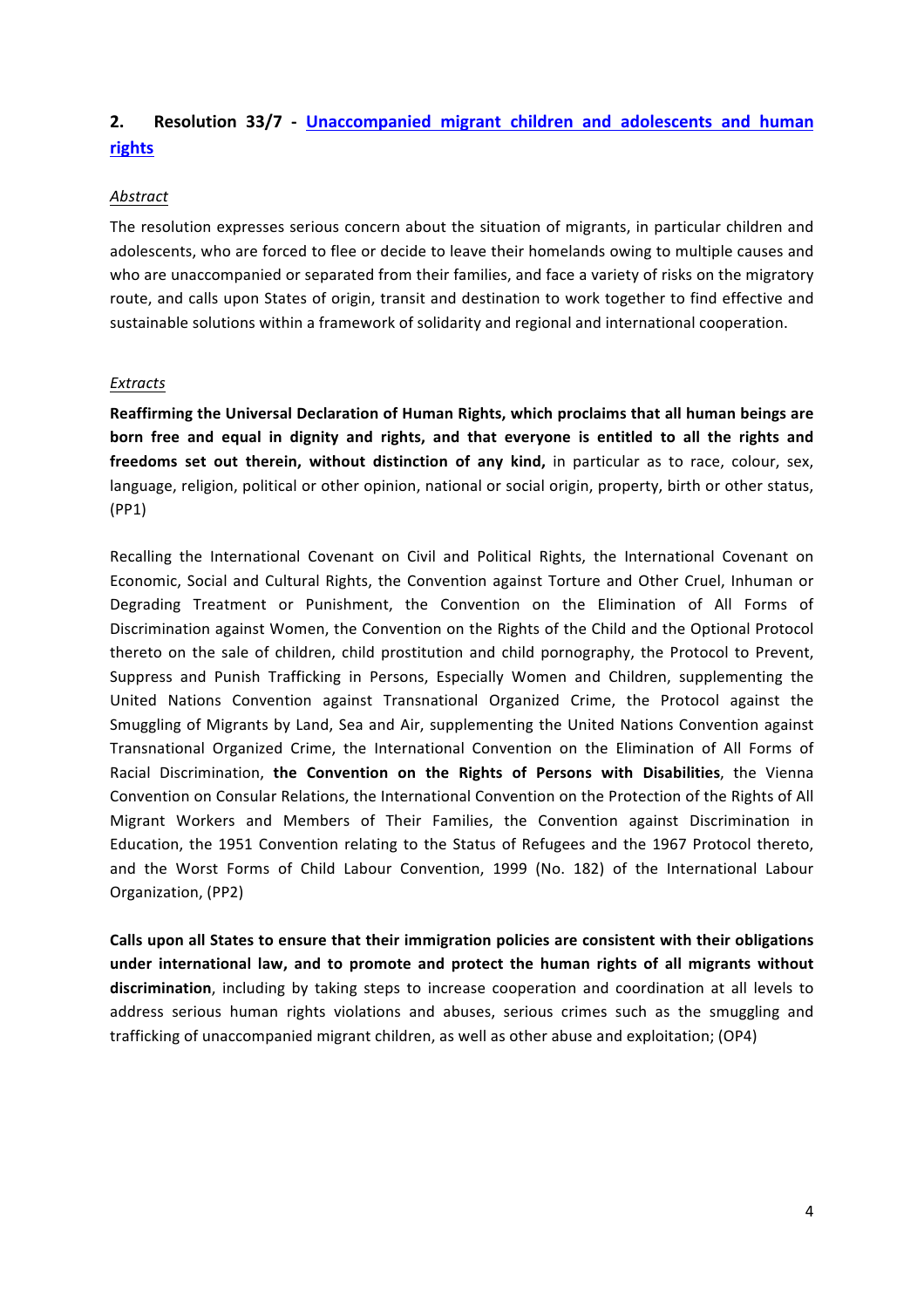# **2. Resolution 33/7 - Unaccompanied migrant children and adolescents and human rights**

### *Abstract*

The resolution expresses serious concern about the situation of migrants, in particular children and adolescents, who are forced to flee or decide to leave their homelands owing to multiple causes and who are unaccompanied or separated from their families, and face a variety of risks on the migratory route, and calls upon States of origin, transit and destination to work together to find effective and sustainable solutions within a framework of solidarity and regional and international cooperation.

#### *Extracts*

Reaffirming the Universal Declaration of Human Rights, which proclaims that all human beings are born free and equal in dignity and rights, and that everyone is entitled to all the rights and **freedoms set out therein, without distinction of any kind,** in particular as to race, colour, sex, language, religion, political or other opinion, national or social origin, property, birth or other status, (PP1)

Recalling the International Covenant on Civil and Political Rights, the International Covenant on Economic, Social and Cultural Rights, the Convention against Torture and Other Cruel, Inhuman or Degrading Treatment or Punishment, the Convention on the Elimination of All Forms of Discrimination against Women, the Convention on the Rights of the Child and the Optional Protocol thereto on the sale of children, child prostitution and child pornography, the Protocol to Prevent, Suppress and Punish Trafficking in Persons, Especially Women and Children, supplementing the United Nations Convention against Transnational Organized Crime, the Protocol against the Smuggling of Migrants by Land, Sea and Air, supplementing the United Nations Convention against Transnational Organized Crime, the International Convention on the Elimination of All Forms of Racial Discrimination, the Convention on the Rights of Persons with Disabilities, the Vienna Convention on Consular Relations, the International Convention on the Protection of the Rights of All Migrant Workers and Members of Their Families, the Convention against Discrimination in Education, the 1951 Convention relating to the Status of Refugees and the 1967 Protocol thereto, and the Worst Forms of Child Labour Convention, 1999 (No. 182) of the International Labour Organization, (PP2)

Calls upon all States to ensure that their immigration policies are consistent with their obligations under international law, and to promote and protect the human rights of all migrants without **discrimination**, including by taking steps to increase cooperation and coordination at all levels to address serious human rights violations and abuses, serious crimes such as the smuggling and trafficking of unaccompanied migrant children, as well as other abuse and exploitation; (OP4)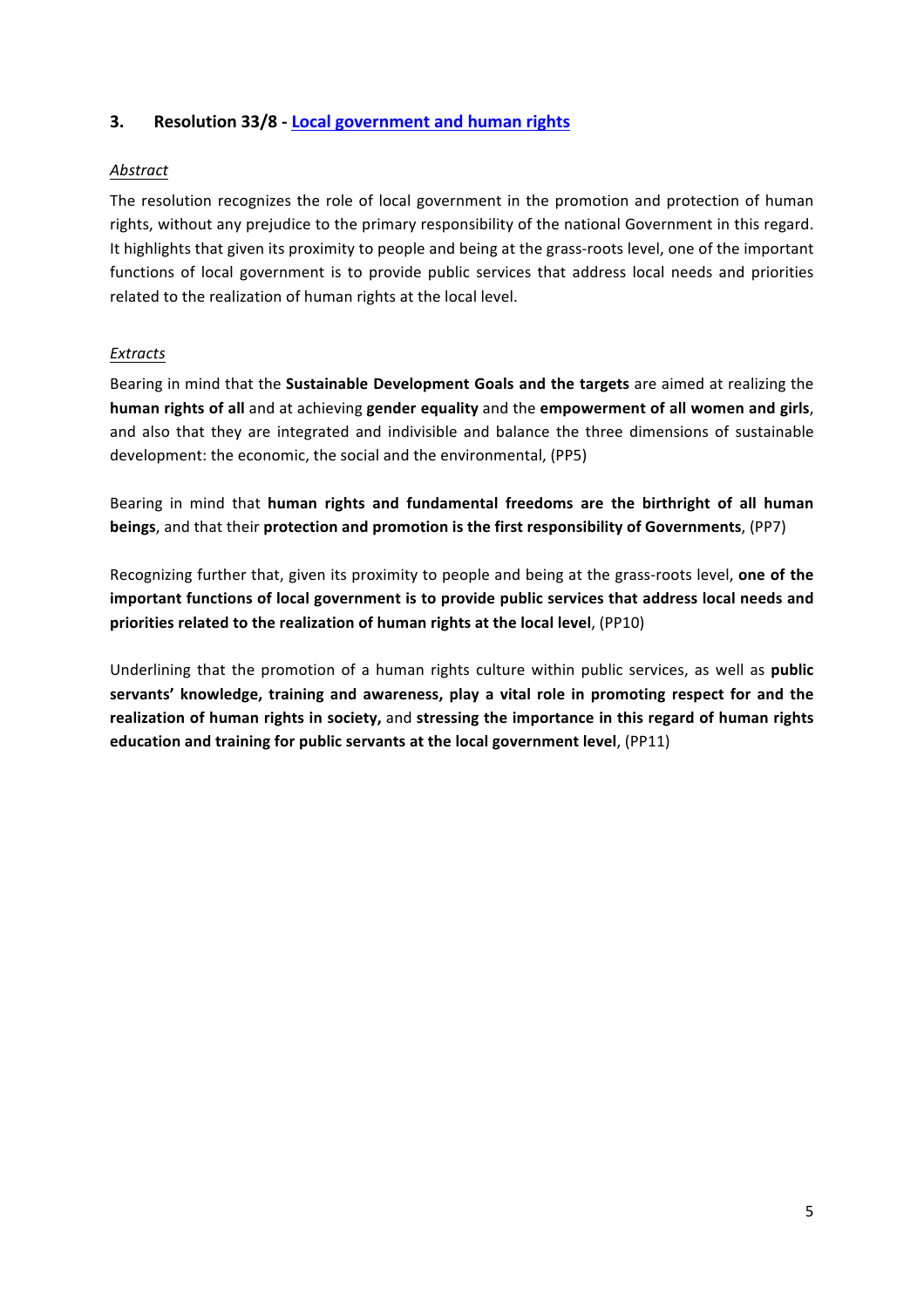## **3. Resolution 33/8 - Local government and human rights**

### *Abstract*

The resolution recognizes the role of local government in the promotion and protection of human rights, without any prejudice to the primary responsibility of the national Government in this regard. It highlights that given its proximity to people and being at the grass-roots level, one of the important functions of local government is to provide public services that address local needs and priorities related to the realization of human rights at the local level.

#### *Extracts*

Bearing in mind that the **Sustainable Development Goals and the targets** are aimed at realizing the **human rights of all** and at achieving gender equality and the empowerment of all women and girls, and also that they are integrated and indivisible and balance the three dimensions of sustainable development: the economic, the social and the environmental, (PP5)

Bearing in mind that human rights and fundamental freedoms are the birthright of all human **beings**, and that their protection and promotion is the first responsibility of Governments, (PP7)

Recognizing further that, given its proximity to people and being at the grass-roots level, **one of the** important functions of local government is to provide public services that address local needs and priorities related to the realization of human rights at the local level, (PP10)

Underlining that the promotion of a human rights culture within public services, as well as **public** servants' knowledge, training and awareness, play a vital role in promoting respect for and the realization of human rights in society, and stressing the importance in this regard of human rights **education and training for public servants at the local government level, (PP11)**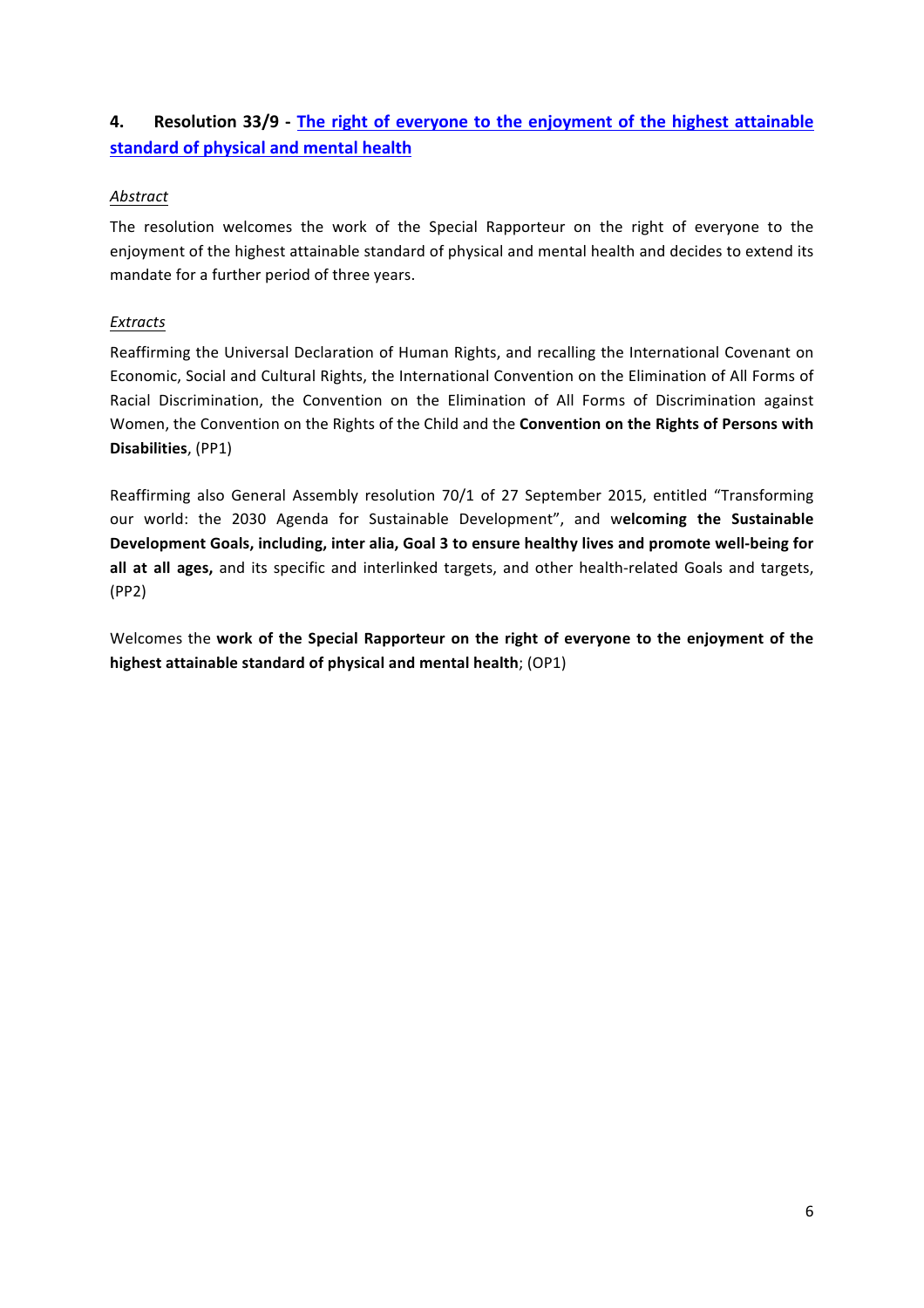# **4. Resolution 33/9** - The right of everyone to the enjoyment of the highest attainable **standard of physical and mental health**

## *Abstract*

The resolution welcomes the work of the Special Rapporteur on the right of everyone to the enjoyment of the highest attainable standard of physical and mental health and decides to extend its mandate for a further period of three years.

## *Extracts*

Reaffirming the Universal Declaration of Human Rights, and recalling the International Covenant on Economic, Social and Cultural Rights, the International Convention on the Elimination of All Forms of Racial Discrimination, the Convention on the Elimination of All Forms of Discrimination against Women, the Convention on the Rights of the Child and the **Convention on the Rights of Persons with Disabilities**, (PP1)

Reaffirming also General Assembly resolution 70/1 of 27 September 2015, entitled "Transforming our world: the 2030 Agenda for Sustainable Development", and welcoming the Sustainable Development Goals, including, inter alia, Goal 3 to ensure healthy lives and promote well-being for all at all ages, and its specific and interlinked targets, and other health-related Goals and targets, (PP2)

Welcomes the work of the Special Rapporteur on the right of everyone to the enjoyment of the **highest attainable standard of physical and mental health**; (OP1)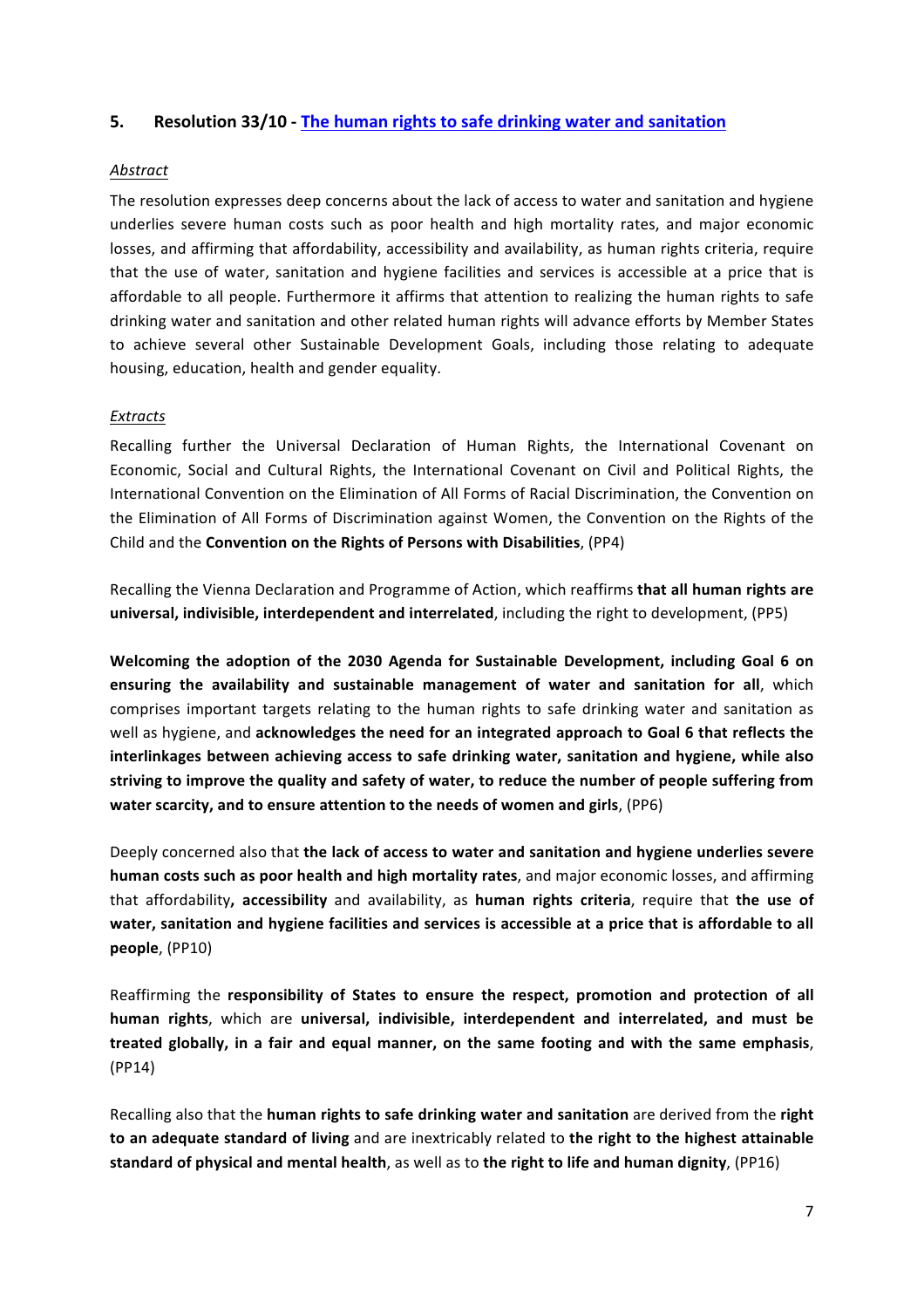## **5.** Resolution 33/10 - The human rights to safe drinking water and sanitation

#### *Abstract*

The resolution expresses deep concerns about the lack of access to water and sanitation and hygiene underlies severe human costs such as poor health and high mortality rates, and major economic losses, and affirming that affordability, accessibility and availability, as human rights criteria, require that the use of water, sanitation and hygiene facilities and services is accessible at a price that is affordable to all people. Furthermore it affirms that attention to realizing the human rights to safe drinking water and sanitation and other related human rights will advance efforts by Member States to achieve several other Sustainable Development Goals, including those relating to adequate housing, education, health and gender equality.

#### *Extracts*

Recalling further the Universal Declaration of Human Rights, the International Covenant on Economic, Social and Cultural Rights, the International Covenant on Civil and Political Rights. the International Convention on the Elimination of All Forms of Racial Discrimination, the Convention on the Elimination of All Forms of Discrimination against Women, the Convention on the Rights of the Child and the **Convention on the Rights of Persons with Disabilities**, (PP4)

Recalling the Vienna Declaration and Programme of Action, which reaffirms that all human rights are **universal, indivisible, interdependent and interrelated**, including the right to development, (PP5)

Welcoming the adoption of the 2030 Agenda for Sustainable Development, including Goal 6 on ensuring the availability and sustainable management of water and sanitation for all, which comprises important targets relating to the human rights to safe drinking water and sanitation as well as hygiene, and acknowledges the need for an integrated approach to Goal 6 that reflects the interlinkages between achieving access to safe drinking water, sanitation and hygiene, while also striving to improve the quality and safety of water, to reduce the number of people suffering from **water scarcity, and to ensure attention to the needs of women and girls**, (PP6)

Deeply concerned also that the lack of access to water and sanitation and hygiene underlies severe **human costs such as poor health and high mortality rates**, and major economic losses, and affirming that affordability, accessibility and availability, as **human rights criteria**, require that the use of water, sanitation and hygiene facilities and services is accessible at a price that is affordable to all **people**, (PP10)

Reaffirming the responsibility of States to ensure the respect, promotion and protection of all human rights, which are universal, indivisible, interdependent and interrelated, and must be treated globally, in a fair and equal manner, on the same footing and with the same emphasis, (PP14)

Recalling also that the **human rights to safe drinking water and sanitation** are derived from the **right** to an adequate standard of living and are inextricably related to the right to the highest attainable **standard of physical and mental health**, as well as to the right to life and human dignity, (PP16)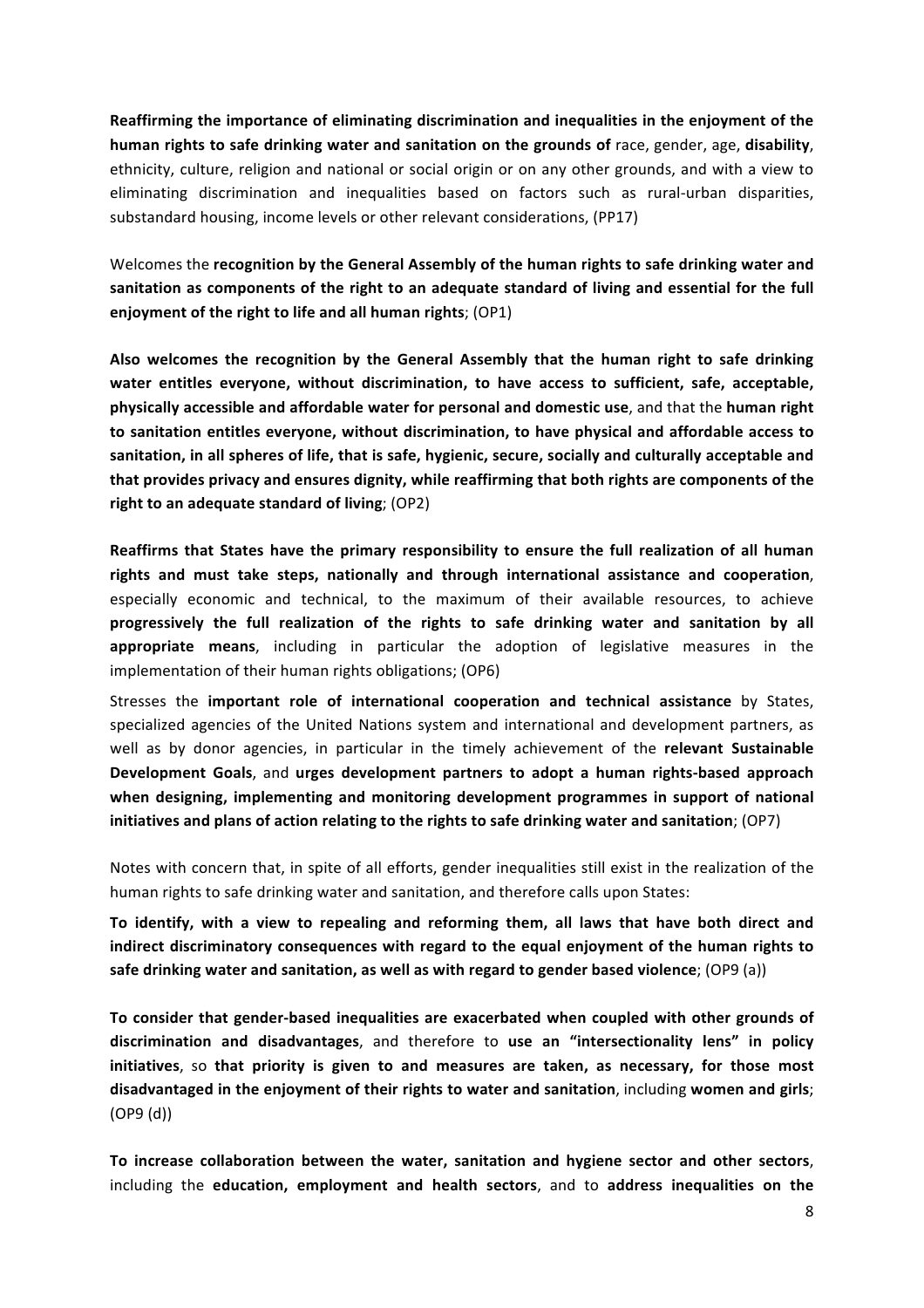**Reaffirming the importance of eliminating discrimination and inequalities in the enjoyment of the** human rights to safe drinking water and sanitation on the grounds of race, gender, age, disability, ethnicity, culture, religion and national or social origin or on any other grounds, and with a view to eliminating discrimination and inequalities based on factors such as rural-urban disparities, substandard housing, income levels or other relevant considerations, (PP17)

Welcomes the **recognition by the General Assembly of the human rights to safe drinking water and** sanitation as components of the right to an adequate standard of living and essential for the full **enjoyment of the right to life and all human rights**; (OP1)

Also welcomes the recognition by the General Assembly that the human right to safe drinking water entitles everyone, without discrimination, to have access to sufficient, safe, acceptable, **physically accessible and affordable water for personal and domestic use, and that the human right** to sanitation entitles everyone, without discrimination, to have physical and affordable access to sanitation, in all spheres of life, that is safe, hygienic, secure, socially and culturally acceptable and that provides privacy and ensures dignity, while reaffirming that both rights are components of the right to an adequate standard of living; (OP2)

Reaffirms that States have the primary responsibility to ensure the full realization of all human rights and must take steps, nationally and through international assistance and cooperation, especially economic and technical, to the maximum of their available resources, to achieve **progressively** the full realization of the rights to safe drinking water and sanitation by all **appropriate** means, including in particular the adoption of legislative measures in the implementation of their human rights obligations; (OP6)

Stresses the **important role of international cooperation and technical assistance** by States, specialized agencies of the United Nations system and international and development partners, as well as by donor agencies, in particular in the timely achievement of the **relevant Sustainable Development Goals**, and urges development partners to adopt a human rights-based approach when designing, implementing and monitoring development programmes in support of national initiatives and plans of action relating to the rights to safe drinking water and sanitation; (OP7)

Notes with concern that, in spite of all efforts, gender inequalities still exist in the realization of the human rights to safe drinking water and sanitation, and therefore calls upon States:

To identify, with a view to repealing and reforming them, all laws that have both direct and indirect discriminatory consequences with regard to the equal enjoyment of the human rights to safe drinking water and sanitation, as well as with regard to gender based violence; (OP9 (a))

To consider that gender-based inequalities are exacerbated when coupled with other grounds of discrimination and disadvantages, and therefore to use an "intersectionality lens" in policy **initiatives**, so that priority is given to and measures are taken, as necessary, for those most disadvantaged in the enjoyment of their rights to water and sanitation, including women and girls; (OP9 (d))

To increase collaboration between the water, sanitation and hygiene sector and other sectors, including the **education, employment and health sectors**, and to **address inequalities on the**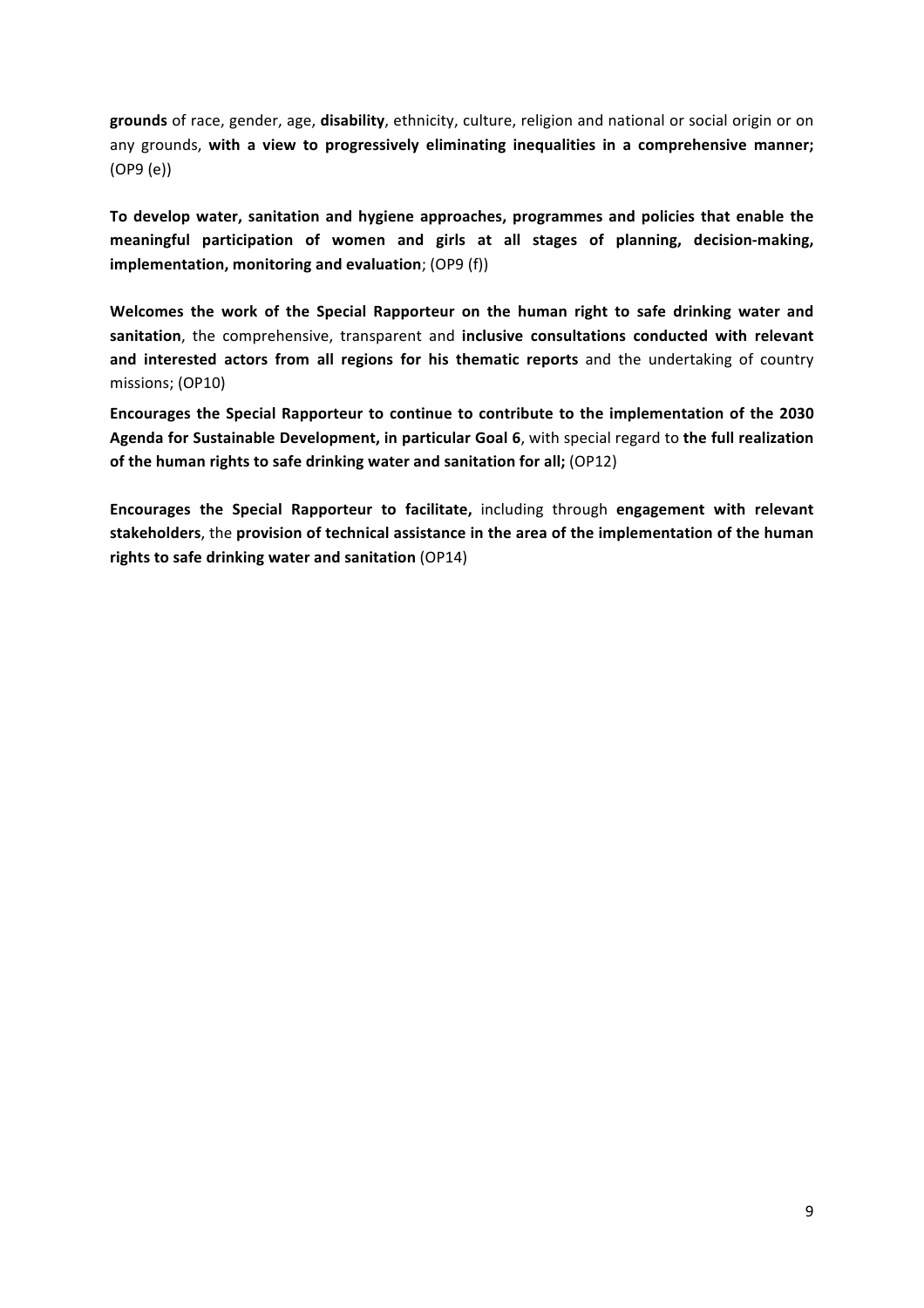grounds of race, gender, age, disability, ethnicity, culture, religion and national or social origin or on any grounds, with a view to progressively eliminating inequalities in a comprehensive manner; (OP9 (e))

To develop water, sanitation and hygiene approaches, programmes and policies that enable the meaningful participation of women and girls at all stages of planning, decision-making, **implementation, monitoring and evaluation**; (OP9 (f))

Welcomes the work of the Special Rapporteur on the human right to safe drinking water and sanitation, the comprehensive, transparent and inclusive consultations conducted with relevant and interested actors from all regions for his thematic reports and the undertaking of country missions; (OP10)

Encourages the Special Rapporteur to continue to contribute to the implementation of the 2030 Agenda for Sustainable Development, in particular Goal 6, with special regard to the full realization **of the human rights to safe drinking water and sanitation for all;** (OP12)

**Encourages the Special Rapporteur to facilitate, including through engagement with relevant** stakeholders, the provision of technical assistance in the area of the implementation of the human rights to safe drinking water and sanitation (OP14)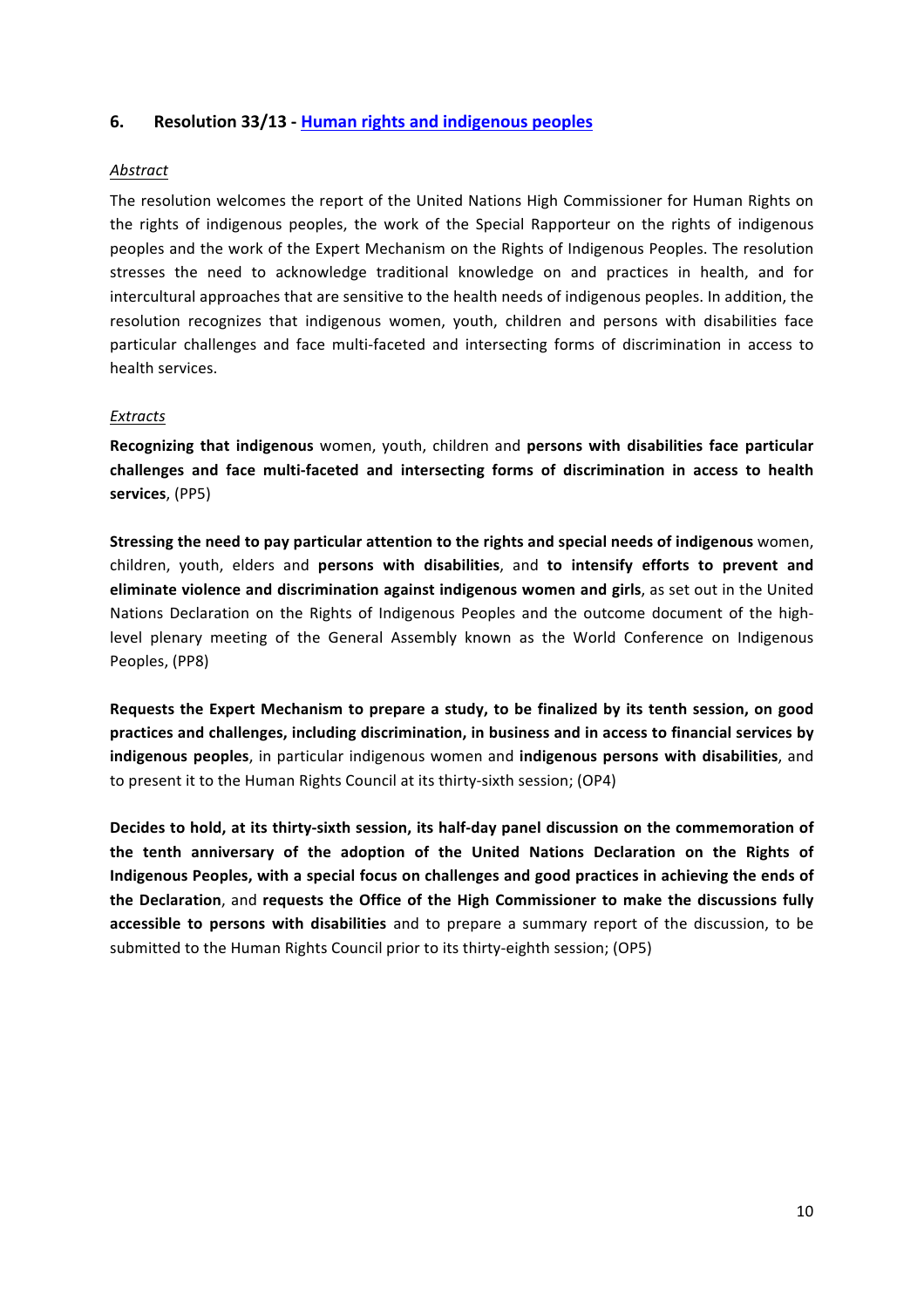## **6. Resolution 33/13 - Human rights and indigenous peoples**

#### *Abstract*

The resolution welcomes the report of the United Nations High Commissioner for Human Rights on the rights of indigenous peoples, the work of the Special Rapporteur on the rights of indigenous peoples and the work of the Expert Mechanism on the Rights of Indigenous Peoples. The resolution stresses the need to acknowledge traditional knowledge on and practices in health, and for intercultural approaches that are sensitive to the health needs of indigenous peoples. In addition, the resolution recognizes that indigenous women, youth, children and persons with disabilities face particular challenges and face multi-faceted and intersecting forms of discrimination in access to health services.

#### *Extracts*

Recognizing that indigenous women, youth, children and persons with disabilities face particular challenges and face multi-faceted and intersecting forms of discrimination in access to health **services**, (PP5)

**Stressing the need to pay particular attention to the rights and special needs of indigenous** women, children, youth, elders and **persons with disabilities**, and to intensify efforts to prevent and **eliminate violence and discrimination against indigenous women and girls**, as set out in the United Nations Declaration on the Rights of Indigenous Peoples and the outcome document of the highlevel plenary meeting of the General Assembly known as the World Conference on Indigenous Peoples, (PP8)

Requests the Expert Mechanism to prepare a study, to be finalized by its tenth session, on good practices and challenges, including discrimination, in business and in access to financial services by **indigenous peoples**, in particular indigenous women and **indigenous persons with disabilities**, and to present it to the Human Rights Council at its thirty-sixth session; (OP4)

Decides to hold, at its thirty-sixth session, its half-day panel discussion on the commemoration of the tenth anniversary of the adoption of the United Nations Declaration on the Rights of Indigenous Peoples, with a special focus on challenges and good practices in achieving the ends of the Declaration, and requests the Office of the High Commissioner to make the discussions fully **accessible to persons with disabilities** and to prepare a summary report of the discussion, to be submitted to the Human Rights Council prior to its thirty-eighth session; (OP5)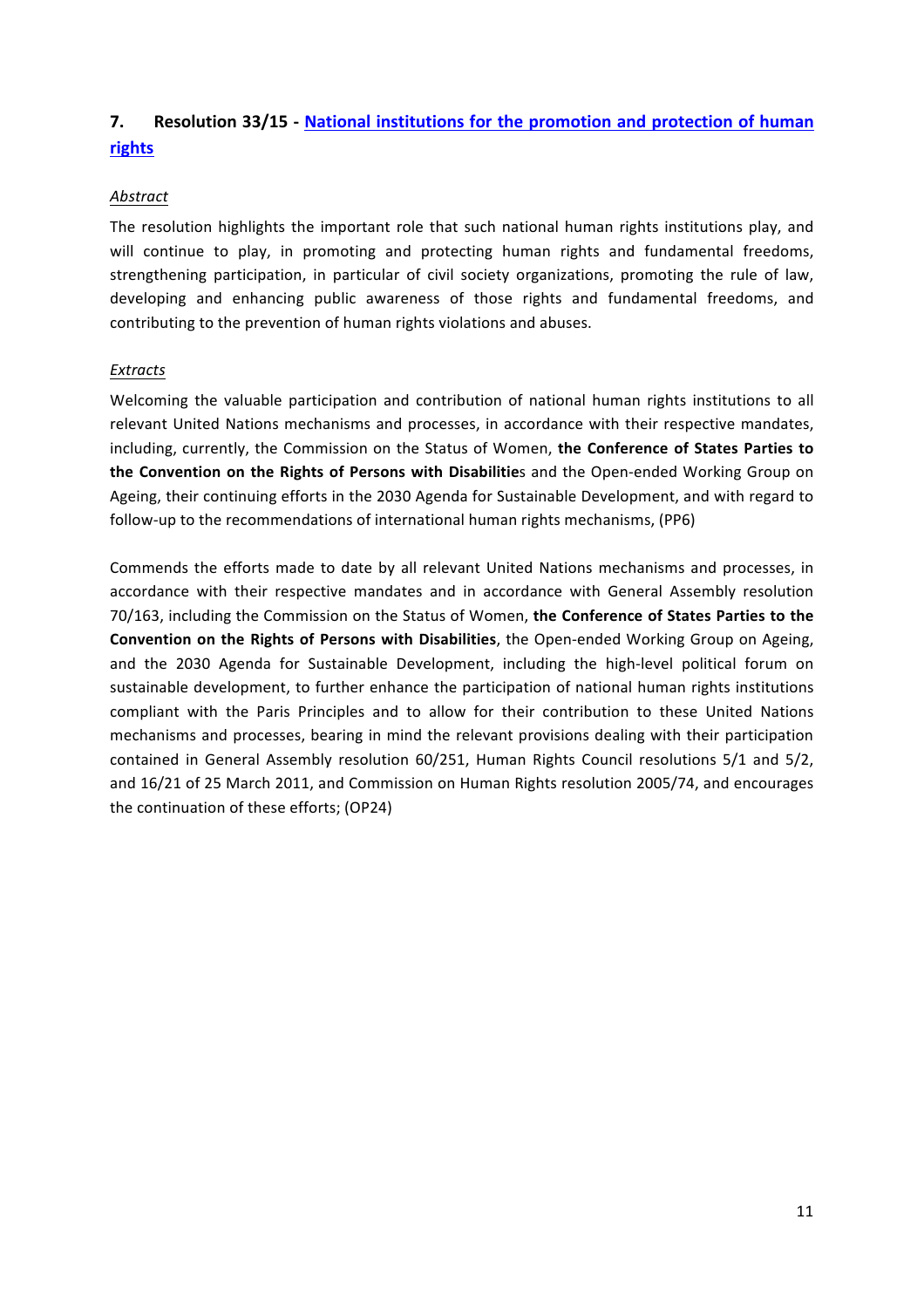# **7.** Resolution 33/15 - National institutions for the promotion and protection of human **rights**

## *Abstract*

The resolution highlights the important role that such national human rights institutions play, and will continue to play, in promoting and protecting human rights and fundamental freedoms, strengthening participation, in particular of civil society organizations, promoting the rule of law, developing and enhancing public awareness of those rights and fundamental freedoms, and contributing to the prevention of human rights violations and abuses.

## *Extracts*

Welcoming the valuable participation and contribution of national human rights institutions to all relevant United Nations mechanisms and processes, in accordance with their respective mandates, including, currently, the Commission on the Status of Women, the Conference of States Parties to the Convention on the Rights of Persons with Disabilities and the Open-ended Working Group on Ageing, their continuing efforts in the 2030 Agenda for Sustainable Development, and with regard to follow-up to the recommendations of international human rights mechanisms, (PP6)

Commends the efforts made to date by all relevant United Nations mechanisms and processes, in accordance with their respective mandates and in accordance with General Assembly resolution 70/163, including the Commission on the Status of Women, the Conference of States Parties to the **Convention on the Rights of Persons with Disabilities**, the Open-ended Working Group on Ageing, and the 2030 Agenda for Sustainable Development, including the high-level political forum on sustainable development, to further enhance the participation of national human rights institutions compliant with the Paris Principles and to allow for their contribution to these United Nations mechanisms and processes, bearing in mind the relevant provisions dealing with their participation contained in General Assembly resolution 60/251, Human Rights Council resolutions 5/1 and 5/2, and 16/21 of 25 March 2011, and Commission on Human Rights resolution 2005/74, and encourages the continuation of these efforts; (OP24)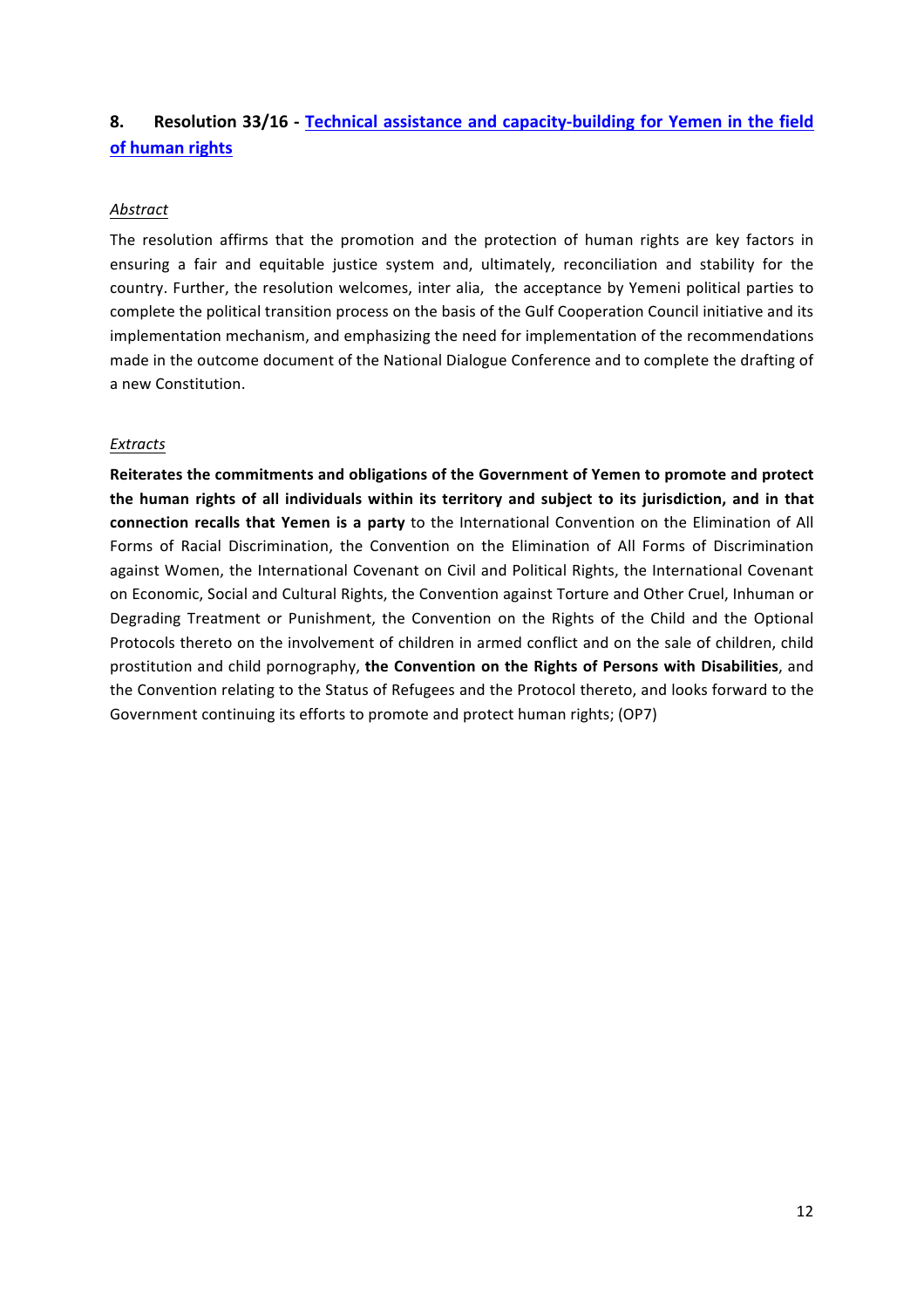# **8.** Resolution 33/16 - Technical assistance and capacity-building for Yemen in the field **of human rights**

## *Abstract*

The resolution affirms that the promotion and the protection of human rights are key factors in ensuring a fair and equitable justice system and, ultimately, reconciliation and stability for the country. Further, the resolution welcomes, inter alia, the acceptance by Yemeni political parties to complete the political transition process on the basis of the Gulf Cooperation Council initiative and its implementation mechanism, and emphasizing the need for implementation of the recommendations made in the outcome document of the National Dialogue Conference and to complete the drafting of a new Constitution.

## *Extracts*

Reiterates the commitments and obligations of the Government of Yemen to promote and protect the human rights of all individuals within its territory and subject to its jurisdiction, and in that **connection recalls that Yemen is a party** to the International Convention on the Elimination of All Forms of Racial Discrimination, the Convention on the Elimination of All Forms of Discrimination against Women, the International Covenant on Civil and Political Rights, the International Covenant on Economic, Social and Cultural Rights, the Convention against Torture and Other Cruel, Inhuman or Degrading Treatment or Punishment, the Convention on the Rights of the Child and the Optional Protocols thereto on the involvement of children in armed conflict and on the sale of children, child prostitution and child pornography, the Convention on the Rights of Persons with Disabilities, and the Convention relating to the Status of Refugees and the Protocol thereto, and looks forward to the Government continuing its efforts to promote and protect human rights; (OP7)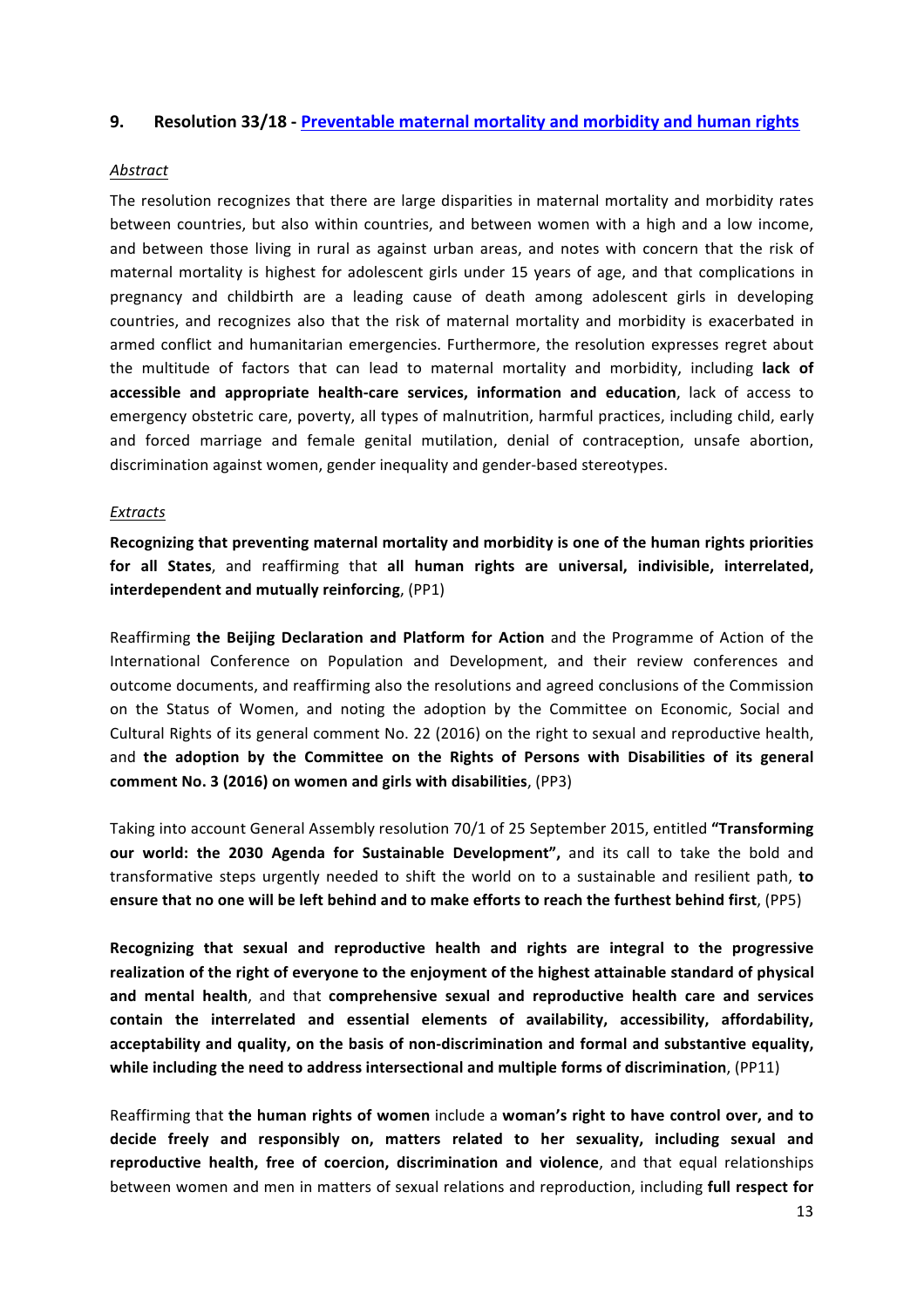#### **9.** Resolution 33/18 - Preventable maternal mortality and morbidity and human rights

#### *Abstract*

The resolution recognizes that there are large disparities in maternal mortality and morbidity rates between countries, but also within countries, and between women with a high and a low income, and between those living in rural as against urban areas, and notes with concern that the risk of maternal mortality is highest for adolescent girls under 15 years of age, and that complications in pregnancy and childbirth are a leading cause of death among adolescent girls in developing countries, and recognizes also that the risk of maternal mortality and morbidity is exacerbated in armed conflict and humanitarian emergencies. Furthermore, the resolution expresses regret about the multitude of factors that can lead to maternal mortality and morbidity, including lack of accessible and appropriate health-care services, information and education, lack of access to emergency obstetric care, poverty, all types of malnutrition, harmful practices, including child, early and forced marriage and female genital mutilation, denial of contraception, unsafe abortion, discrimination against women, gender inequality and gender-based stereotypes.

#### *Extracts*

Recognizing that preventing maternal mortality and morbidity is one of the human rights priorities for all States, and reaffirming that all human rights are universal, indivisible, interrelated, **interdependent and mutually reinforcing**, (PP1)

Reaffirming **the Beijing Declaration and Platform for Action** and the Programme of Action of the International Conference on Population and Development, and their review conferences and outcome documents, and reaffirming also the resolutions and agreed conclusions of the Commission on the Status of Women, and noting the adoption by the Committee on Economic, Social and Cultural Rights of its general comment No. 22 (2016) on the right to sexual and reproductive health, and the adoption by the Committee on the Rights of Persons with Disabilities of its general **comment No. 3 (2016) on women and girls with disabilities**, (PP3)

Taking into account General Assembly resolution 70/1 of 25 September 2015, entitled "Transforming **our world: the 2030 Agenda for Sustainable Development", and its call to take the bold and** transformative steps urgently needed to shift the world on to a sustainable and resilient path, to ensure that no one will be left behind and to make efforts to reach the furthest behind first, (PP5)

Recognizing that sexual and reproductive health and rights are integral to the progressive realization of the right of everyone to the enjoyment of the highest attainable standard of physical and mental health, and that comprehensive sexual and reproductive health care and services contain the interrelated and essential elements of availability, accessibility, affordability, acceptability and quality, on the basis of non-discrimination and formal and substantive equality, while including the need to address intersectional and multiple forms of discrimination, (PP11)

Reaffirming that the human rights of women include a woman's right to have control over, and to decide freely and responsibly on, matters related to her sexuality, including sexual and **reproductive health, free of coercion, discrimination and violence**, and that equal relationships between women and men in matters of sexual relations and reproduction, including **full respect for**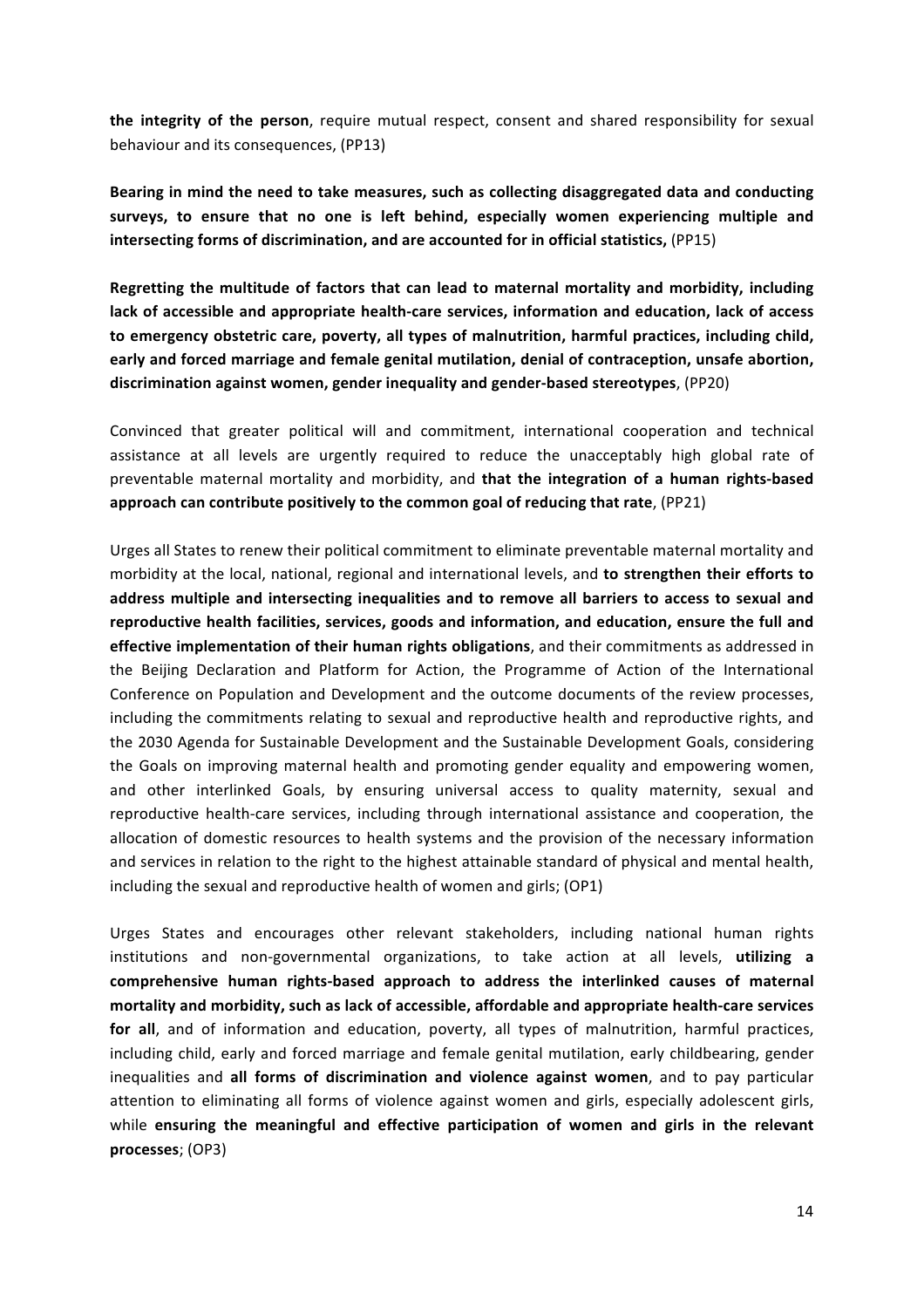**the integrity of the person**, require mutual respect, consent and shared responsibility for sexual behaviour and its consequences, (PP13)

Bearing in mind the need to take measures, such as collecting disaggregated data and conducting surveys, to ensure that no one is left behind, especially women experiencing multiple and **intersecting forms of discrimination, and are accounted for in official statistics,** (PP15)

**Regretting the multitude of factors that can lead to maternal mortality and morbidity, including** lack of accessible and appropriate health-care services, information and education, lack of access to emergency obstetric care, poverty, all types of malnutrition, harmful practices, including child, early and forced marriage and female genital mutilation, denial of contraception, unsafe abortion, discrimination against women, gender inequality and gender-based stereotypes, (PP20)

Convinced that greater political will and commitment, international cooperation and technical assistance at all levels are urgently required to reduce the unacceptably high global rate of preventable maternal mortality and morbidity, and **that the integration of a human rights-based** approach can contribute positively to the common goal of reducing that rate, (PP21)

Urges all States to renew their political commitment to eliminate preventable maternal mortality and morbidity at the local, national, regional and international levels, and **to strengthen their efforts to** address multiple and intersecting inequalities and to remove all barriers to access to sexual and reproductive health facilities, services, goods and information, and education, ensure the full and **effective implementation of their human rights obligations**, and their commitments as addressed in the Beijing Declaration and Platform for Action, the Programme of Action of the International Conference on Population and Development and the outcome documents of the review processes, including the commitments relating to sexual and reproductive health and reproductive rights, and the 2030 Agenda for Sustainable Development and the Sustainable Development Goals, considering the Goals on improving maternal health and promoting gender equality and empowering women, and other interlinked Goals, by ensuring universal access to quality maternity, sexual and reproductive health-care services, including through international assistance and cooperation, the allocation of domestic resources to health systems and the provision of the necessary information and services in relation to the right to the highest attainable standard of physical and mental health, including the sexual and reproductive health of women and girls; (OP1)

Urges States and encourages other relevant stakeholders, including national human rights institutions and non-governmental organizations, to take action at all levels, **utilizing a** comprehensive human rights-based approach to address the interlinked causes of maternal mortality and morbidity, such as lack of accessible, affordable and appropriate health-care services for all, and of information and education, poverty, all types of malnutrition, harmful practices, including child, early and forced marriage and female genital mutilation, early childbearing, gender inequalities and all forms of discrimination and violence against women, and to pay particular attention to eliminating all forms of violence against women and girls, especially adolescent girls, while ensuring the meaningful and effective participation of women and girls in the relevant **processes**; (OP3)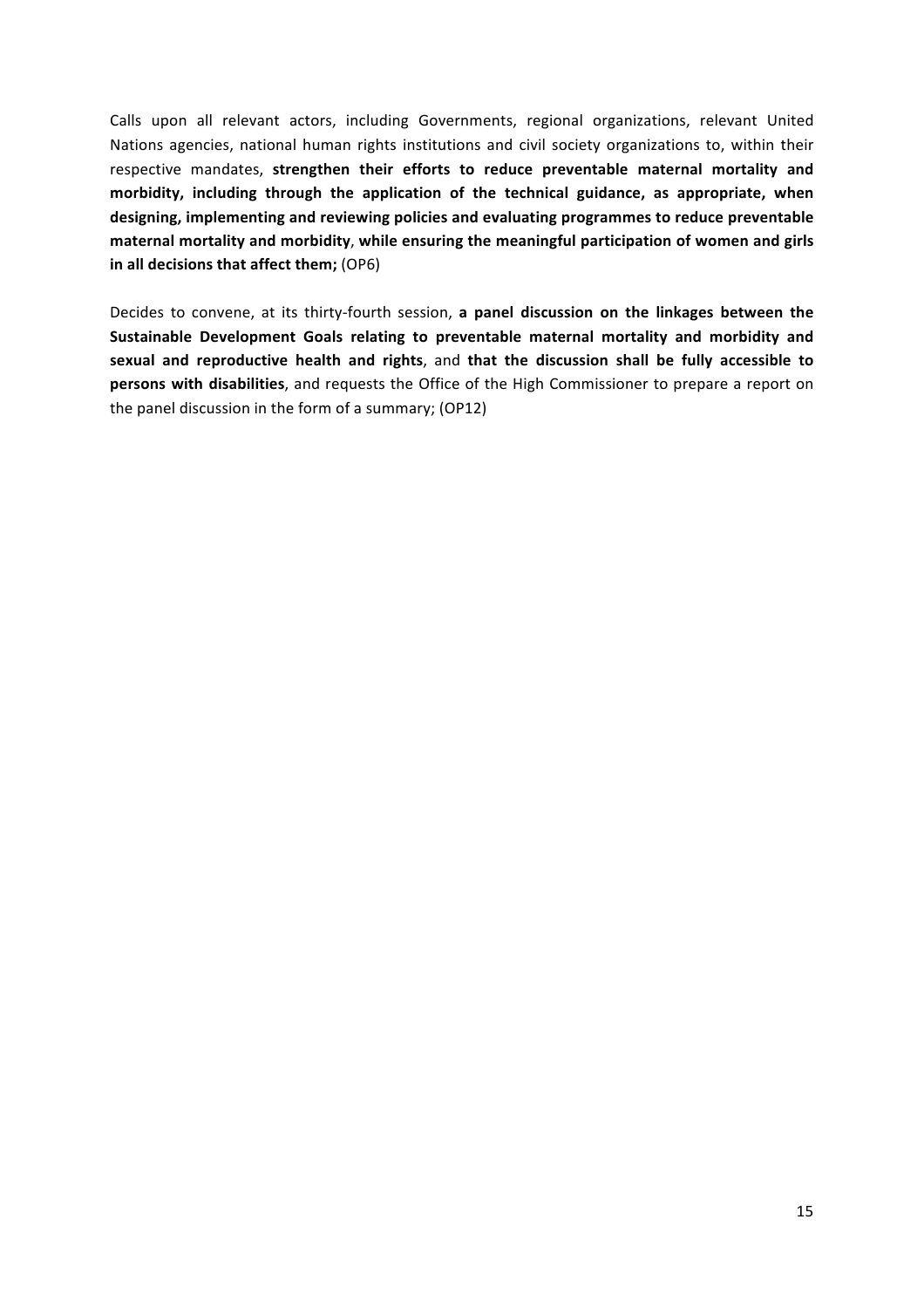Calls upon all relevant actors, including Governments, regional organizations, relevant United Nations agencies, national human rights institutions and civil society organizations to, within their respective mandates, strengthen their efforts to reduce preventable maternal mortality and morbidity, including through the application of the technical guidance, as appropriate, when designing, implementing and reviewing policies and evaluating programmes to reduce preventable maternal mortality and morbidity, while ensuring the meaningful participation of women and girls in all decisions that affect them; (OP6)

Decides to convene, at its thirty-fourth session, a panel discussion on the linkages between the Sustainable Development Goals relating to preventable maternal mortality and morbidity and sexual and reproductive health and rights, and that the discussion shall be fully accessible to **persons with disabilities**, and requests the Office of the High Commissioner to prepare a report on the panel discussion in the form of a summary; (OP12)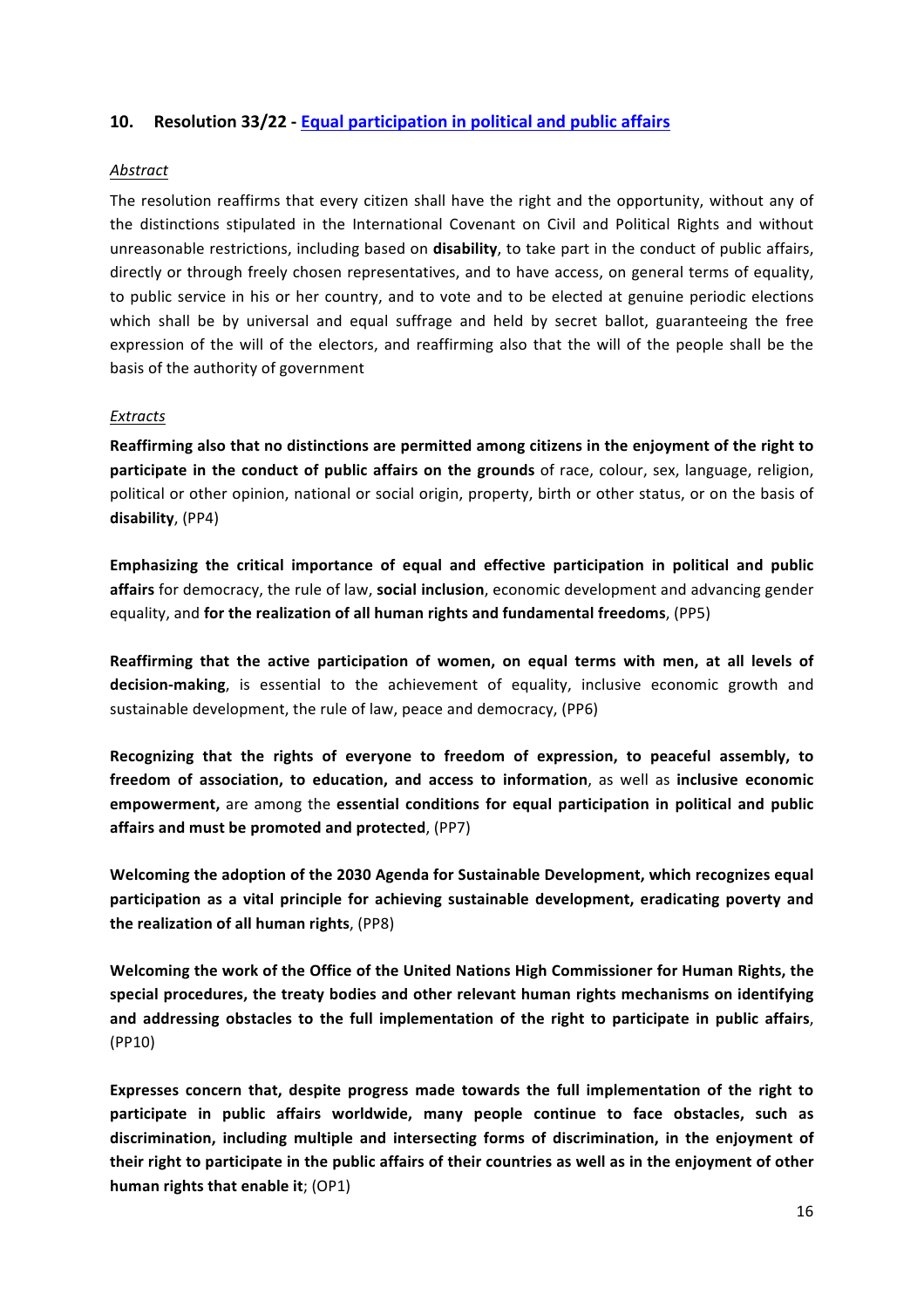## **10. Resolution 33/22 - Equal participation in political and public affairs**

#### *Abstract*

The resolution reaffirms that every citizen shall have the right and the opportunity, without any of the distinctions stipulated in the International Covenant on Civil and Political Rights and without unreasonable restrictions, including based on **disability**, to take part in the conduct of public affairs, directly or through freely chosen representatives, and to have access, on general terms of equality, to public service in his or her country, and to vote and to be elected at genuine periodic elections which shall be by universal and equal suffrage and held by secret ballot, guaranteeing the free expression of the will of the electors, and reaffirming also that the will of the people shall be the basis of the authority of government

#### *Extracts*

Reaffirming also that no distinctions are permitted among citizens in the enjoyment of the right to **participate in the conduct of public affairs on the grounds** of race, colour, sex, language, religion, political or other opinion, national or social origin, property, birth or other status, or on the basis of **disability**, (PP4)

Emphasizing the critical importance of equal and effective participation in political and public affairs for democracy, the rule of law, social inclusion, economic development and advancing gender equality, and **for the realization of all human rights and fundamental freedoms**, (PP5)

Reaffirming that the active participation of women, on equal terms with men, at all levels of **decision-making**, is essential to the achievement of equality, inclusive economic growth and sustainable development, the rule of law, peace and democracy, (PP6)

Recognizing that the rights of everyone to freedom of expression, to peaceful assembly, to freedom of association, to education, and access to information, as well as inclusive economic **empowerment**, are among the essential conditions for equal participation in political and public affairs and must be promoted and protected. (PP7)

Welcoming the adoption of the 2030 Agenda for Sustainable Development, which recognizes equal participation as a vital principle for achieving sustainable development, eradicating poverty and **the realization of all human rights**, (PP8)

Welcoming the work of the Office of the United Nations High Commissioner for Human Rights, the special procedures, the treaty bodies and other relevant human rights mechanisms on identifying and addressing obstacles to the full implementation of the right to participate in public affairs, (PP10)

Expresses concern that, despite progress made towards the full implementation of the right to participate in public affairs worldwide, many people continue to face obstacles, such as discrimination, including multiple and intersecting forms of discrimination, in the enjoyment of their right to participate in the public affairs of their countries as well as in the enjoyment of other **human rights that enable it; (OP1)**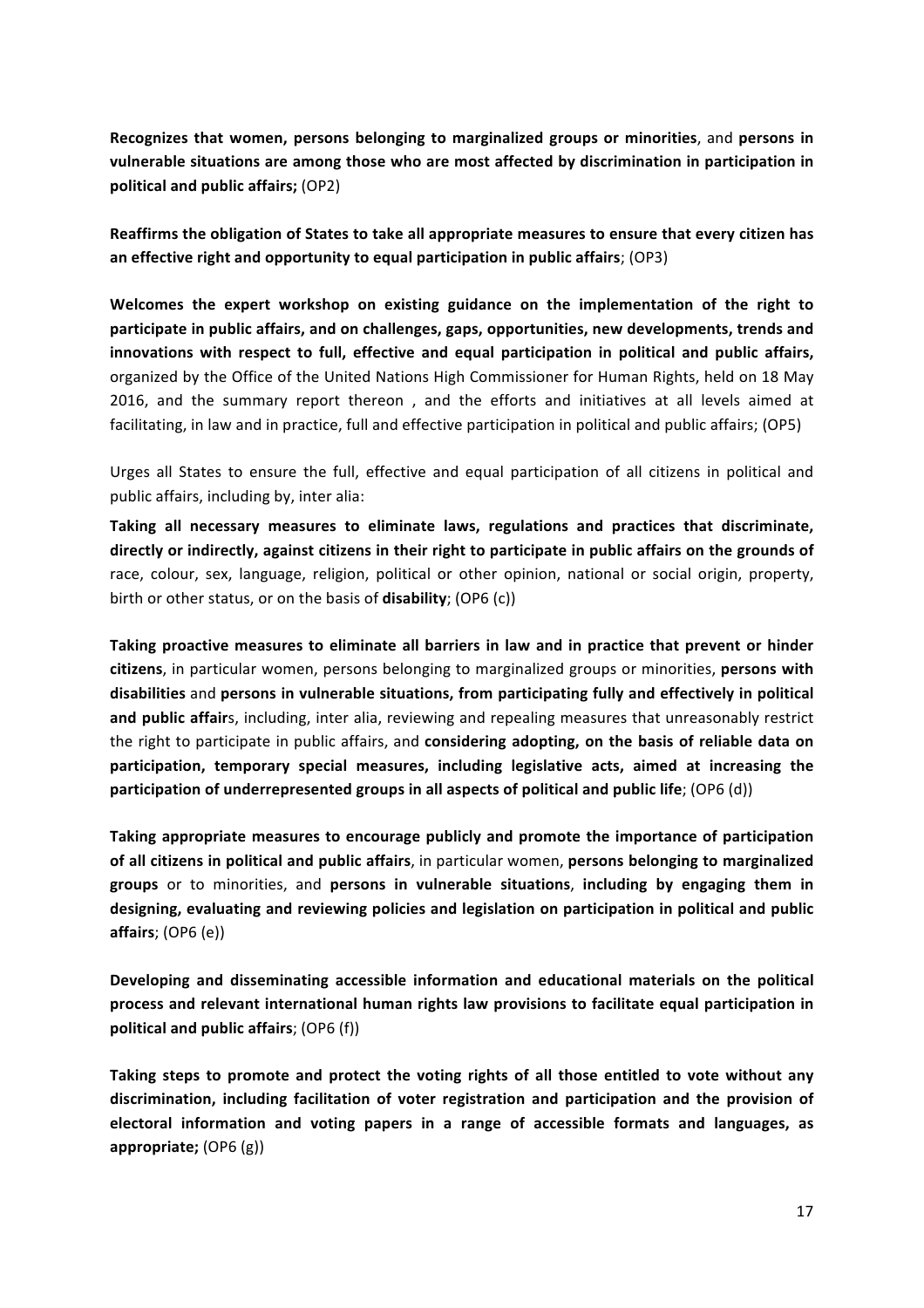**Recognizes that women, persons belonging to marginalized groups or minorities, and persons in** vulnerable situations are among those who are most affected by discrimination in participation in **political and public affairs;** (OP2)

**Reaffirms the obligation of States to take all appropriate measures to ensure that every citizen has** an effective right and opportunity to equal participation in public affairs; (OP3)

Welcomes the expert workshop on existing guidance on the implementation of the right to participate in public affairs, and on challenges, gaps, opportunities, new developments, trends and innovations with respect to full, effective and equal participation in political and public affairs, organized by the Office of the United Nations High Commissioner for Human Rights, held on 18 May 2016, and the summary report thereon, and the efforts and initiatives at all levels aimed at facilitating, in law and in practice, full and effective participation in political and public affairs; (OP5)

Urges all States to ensure the full, effective and equal participation of all citizens in political and public affairs, including by, inter alia:

Taking all necessary measures to eliminate laws, regulations and practices that discriminate, directly or indirectly, against citizens in their right to participate in public affairs on the grounds of race, colour, sex, language, religion, political or other opinion, national or social origin, property, birth or other status, or on the basis of **disability**; (OP6 (c))

Taking proactive measures to eliminate all barriers in law and in practice that prevent or hinder citizens, in particular women, persons belonging to marginalized groups or minorities, persons with disabilities and persons in vulnerable situations, from participating fully and effectively in political and public affairs, including, inter alia, reviewing and repealing measures that unreasonably restrict the right to participate in public affairs, and **considering adopting, on the basis of reliable data on** participation, temporary special measures, including legislative acts, aimed at increasing the participation of underrepresented groups in all aspects of political and public life; (OP6 (d))

Taking appropriate measures to encourage publicly and promote the importance of participation **of all citizens in political and public affairs**, in particular women, **persons belonging to marginalized** groups or to minorities, and persons in vulnerable situations, including by engaging them in designing, evaluating and reviewing policies and legislation on participation in political and public **affairs**; (OP6 (e))

Developing and disseminating accessible information and educational materials on the political process and relevant international human rights law provisions to facilitate equal participation in **political and public affairs**; (OP6 (f))

Taking steps to promote and protect the voting rights of all those entitled to vote without any discrimination, including facilitation of voter registration and participation and the provision of electoral information and voting papers in a range of accessible formats and languages, as appropriate; (OP6 (g))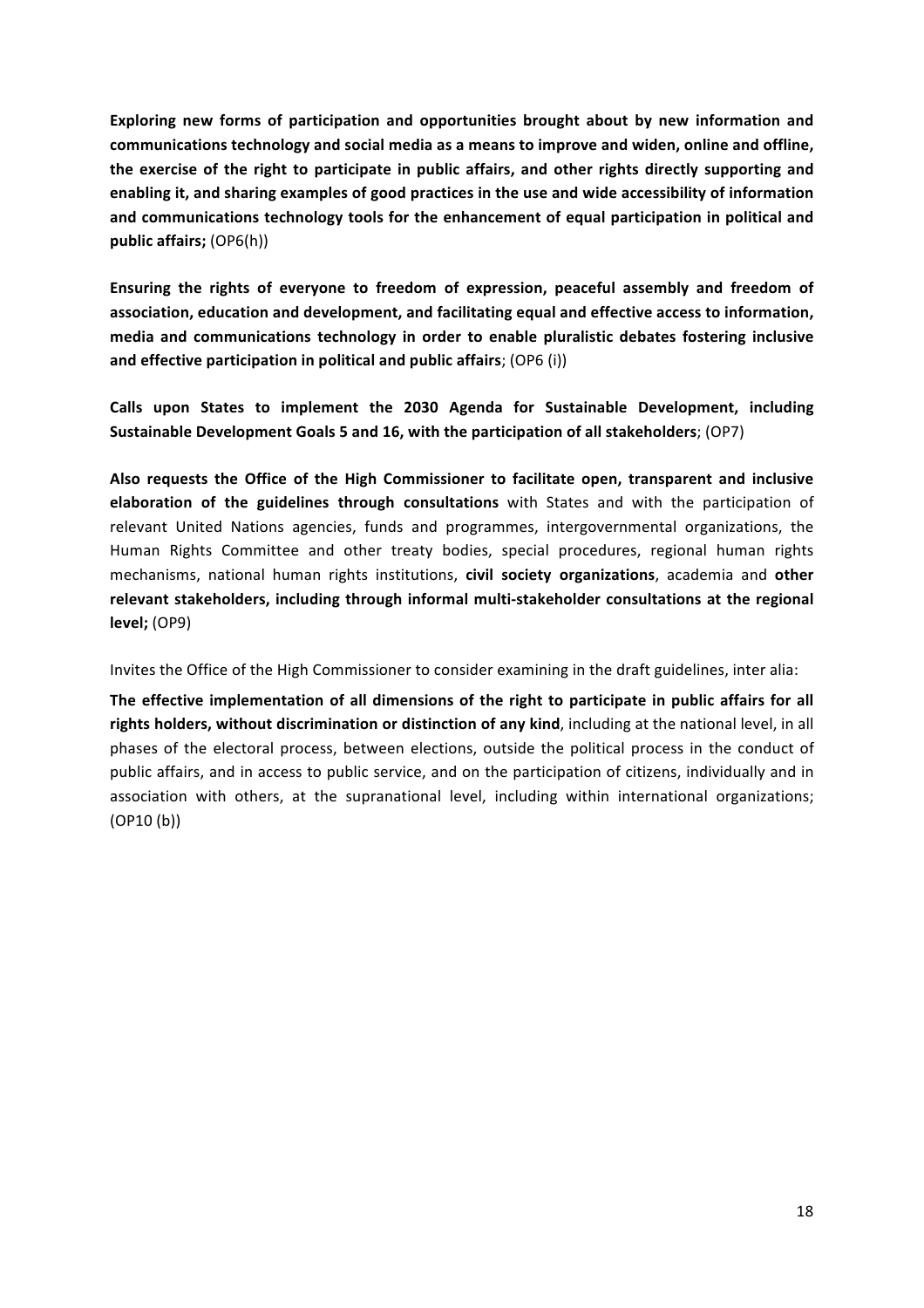**Exploring new forms of participation and opportunities brought about by new information and** communications technology and social media as a means to improve and widen, online and offline, the exercise of the right to participate in public affairs, and other rights directly supporting and enabling it, and sharing examples of good practices in the use and wide accessibility of information and communications technology tools for the enhancement of equal participation in political and **public affairs;** (OP6(h))

Ensuring the rights of everyone to freedom of expression, peaceful assembly and freedom of association, education and development, and facilitating equal and effective access to information, media and communications technology in order to enable pluralistic debates fostering inclusive and effective participation in political and public affairs; (OP6 (i))

Calls upon States to implement the 2030 Agenda for Sustainable Development, including Sustainable Development Goals 5 and 16, with the participation of all stakeholders; (OP7)

Also requests the Office of the High Commissioner to facilitate open, transparent and inclusive **elaboration of the guidelines through consultations** with States and with the participation of relevant United Nations agencies, funds and programmes, intergovernmental organizations, the Human Rights Committee and other treaty bodies, special procedures, regional human rights mechanisms, national human rights institutions, civil society organizations, academia and other relevant stakeholders, including through informal multi-stakeholder consultations at the regional **level;** (OP9)

Invites the Office of the High Commissioner to consider examining in the draft guidelines, inter alia:

The effective implementation of all dimensions of the right to participate in public affairs for all rights holders, without discrimination or distinction of any kind, including at the national level, in all phases of the electoral process, between elections, outside the political process in the conduct of public affairs, and in access to public service, and on the participation of citizens, individually and in association with others, at the supranational level, including within international organizations;  $(OP10 (b))$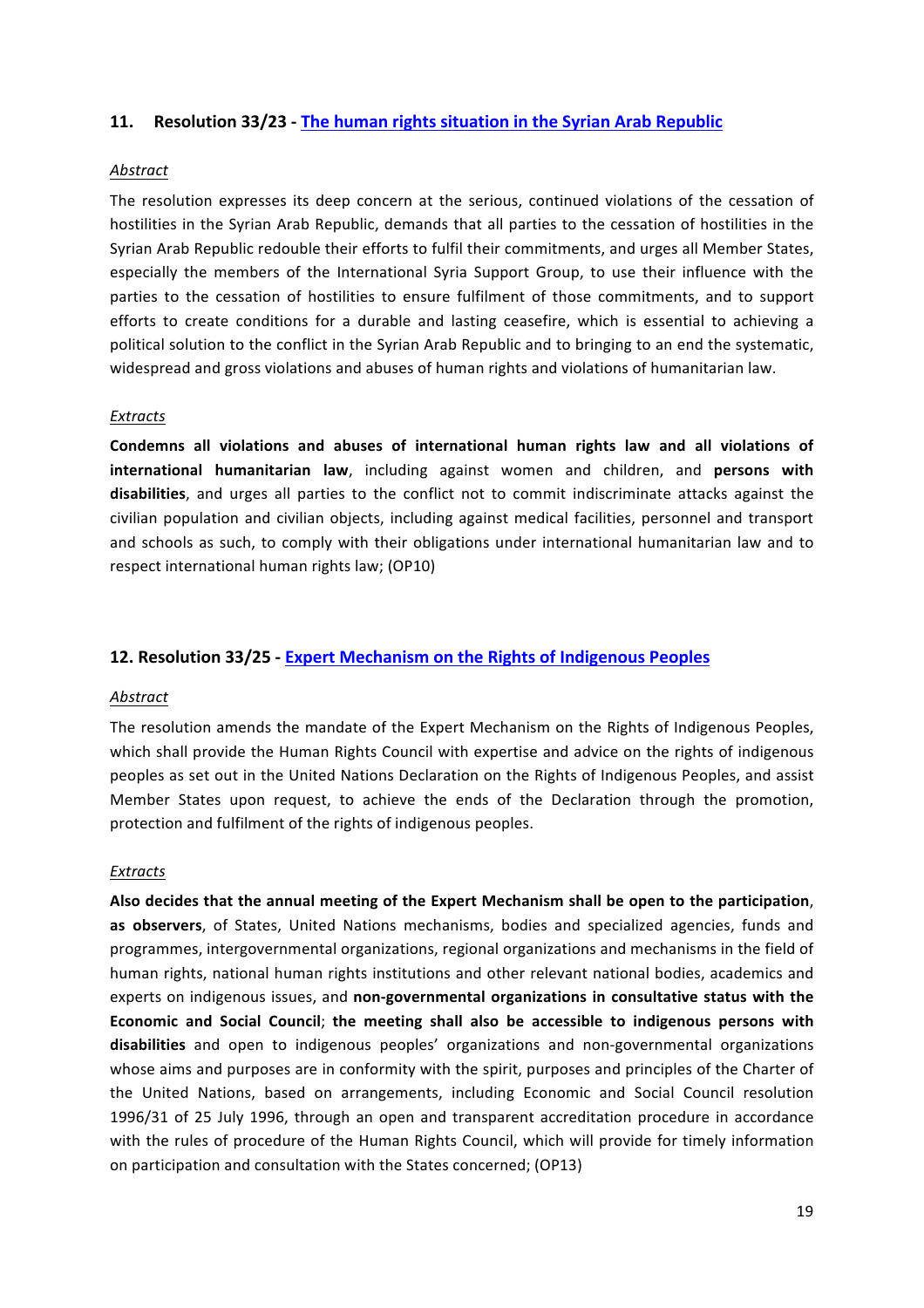### **11.** Resolution 33/23 - The human rights situation in the Syrian Arab Republic

#### *Abstract*

The resolution expresses its deep concern at the serious, continued violations of the cessation of hostilities in the Syrian Arab Republic, demands that all parties to the cessation of hostilities in the Syrian Arab Republic redouble their efforts to fulfil their commitments, and urges all Member States, especially the members of the International Syria Support Group, to use their influence with the parties to the cessation of hostilities to ensure fulfilment of those commitments, and to support efforts to create conditions for a durable and lasting ceasefire, which is essential to achieving a political solution to the conflict in the Syrian Arab Republic and to bringing to an end the systematic, widespread and gross violations and abuses of human rights and violations of humanitarian law.

#### *Extracts*

Condemns all violations and abuses of international human rights law and all violations of **international humanitarian law**, including against women and children, and persons with **disabilities**, and urges all parties to the conflict not to commit indiscriminate attacks against the civilian population and civilian objects, including against medical facilities, personnel and transport and schools as such, to comply with their obligations under international humanitarian law and to respect international human rights law; (OP10)

#### **12. Resolution 33/25 - Expert Mechanism on the Rights of Indigenous Peoples**

#### *Abstract*

The resolution amends the mandate of the Expert Mechanism on the Rights of Indigenous Peoples, which shall provide the Human Rights Council with expertise and advice on the rights of indigenous peoples as set out in the United Nations Declaration on the Rights of Indigenous Peoples, and assist Member States upon request, to achieve the ends of the Declaration through the promotion, protection and fulfilment of the rights of indigenous peoples.

#### *Extracts*

Also decides that the annual meeting of the Expert Mechanism shall be open to the participation, as observers, of States, United Nations mechanisms, bodies and specialized agencies, funds and programmes, intergovernmental organizations, regional organizations and mechanisms in the field of human rights, national human rights institutions and other relevant national bodies, academics and experts on indigenous issues, and non-governmental organizations in consultative status with the Economic and Social Council; the meeting shall also be accessible to indigenous persons with disabilities and open to indigenous peoples' organizations and non-governmental organizations whose aims and purposes are in conformity with the spirit, purposes and principles of the Charter of the United Nations, based on arrangements, including Economic and Social Council resolution 1996/31 of 25 July 1996, through an open and transparent accreditation procedure in accordance with the rules of procedure of the Human Rights Council, which will provide for timely information on participation and consultation with the States concerned; (OP13)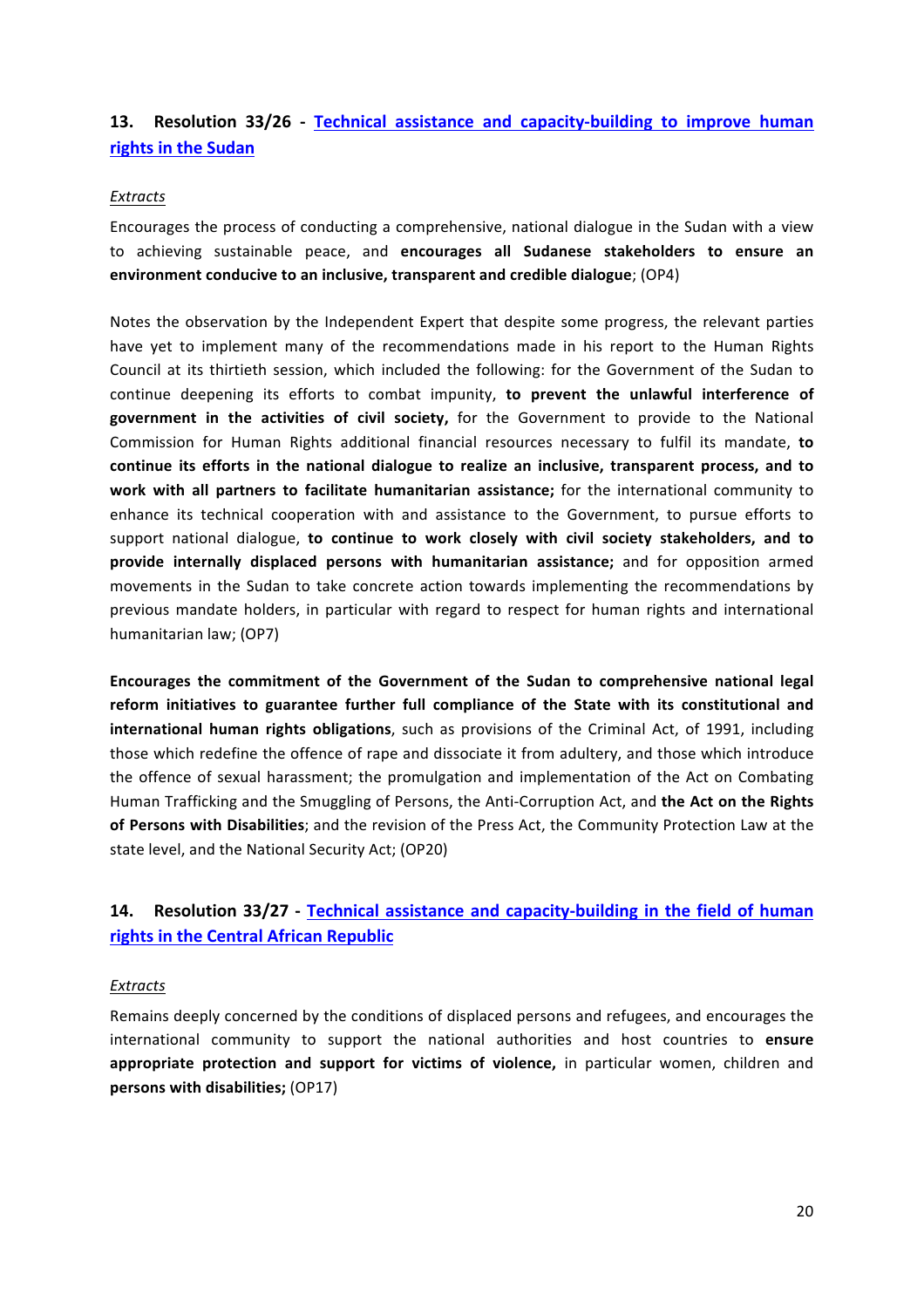## **13.** Resolution 33/26 - Technical assistance and capacity-building to improve human **rights in the Sudan**

#### *Extracts*

Encourages the process of conducting a comprehensive, national dialogue in the Sudan with a view to achieving sustainable peace, and encourages all Sudanese stakeholders to ensure an **environment conducive to an inclusive, transparent and credible dialogue**; (OP4)

Notes the observation by the Independent Expert that despite some progress, the relevant parties have yet to implement many of the recommendations made in his report to the Human Rights Council at its thirtieth session, which included the following: for the Government of the Sudan to continue deepening its efforts to combat impunity, to prevent the unlawful interference of **government** in the activities of civil society, for the Government to provide to the National Commission for Human Rights additional financial resources necessary to fulfil its mandate, to continue its efforts in the national dialogue to realize an inclusive, transparent process, and to **work** with all partners to facilitate humanitarian assistance; for the international community to enhance its technical cooperation with and assistance to the Government, to pursue efforts to support national dialogue, to continue to work closely with civil society stakeholders, and to **provide** internally displaced persons with humanitarian assistance; and for opposition armed movements in the Sudan to take concrete action towards implementing the recommendations by previous mandate holders, in particular with regard to respect for human rights and international humanitarian law; (OP7)

Encourages the commitment of the Government of the Sudan to comprehensive national legal reform initiatives to guarantee further full compliance of the State with its constitutional and **international human rights obligations**, such as provisions of the Criminal Act, of 1991, including those which redefine the offence of rape and dissociate it from adultery, and those which introduce the offence of sexual harassment; the promulgation and implementation of the Act on Combating Human Trafficking and the Smuggling of Persons, the Anti-Corruption Act, and **the Act on the Rights** of Persons with Disabilities; and the revision of the Press Act, the Community Protection Law at the state level, and the National Security Act; (OP20)

# **14.** Resolution 33/27 - Technical assistance and capacity-building in the field of human **rights in the Central African Republic**

#### *Extracts*

Remains deeply concerned by the conditions of displaced persons and refugees, and encourages the international community to support the national authorities and host countries to **ensure** appropriate protection and support for victims of violence, in particular women, children and **persons with disabilities;** (OP17)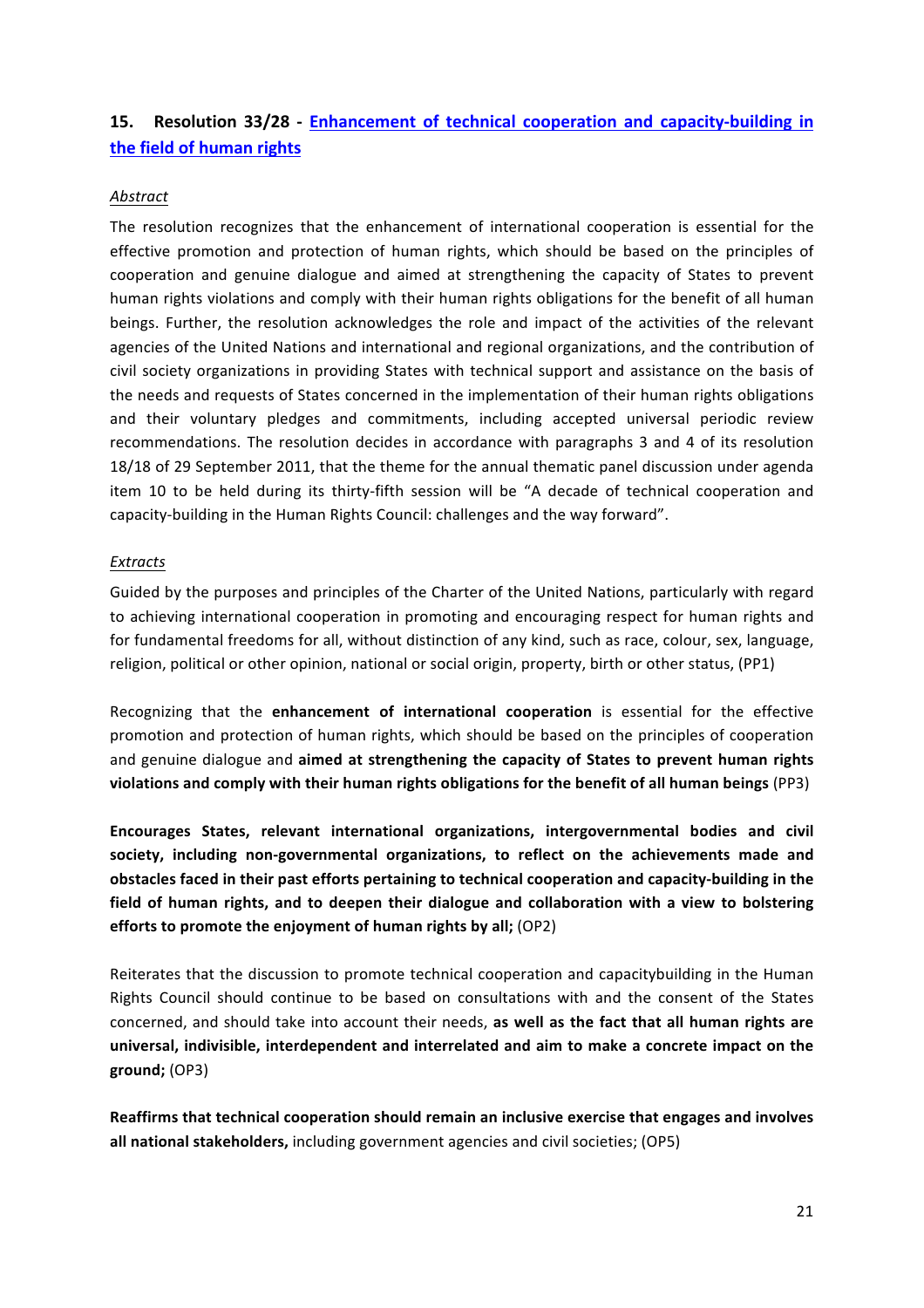## **15.** Resolution 33/28 - Enhancement of technical cooperation and capacity-building in **the field of human rights**

### *Abstract*

The resolution recognizes that the enhancement of international cooperation is essential for the effective promotion and protection of human rights, which should be based on the principles of cooperation and genuine dialogue and aimed at strengthening the capacity of States to prevent human rights violations and comply with their human rights obligations for the benefit of all human beings. Further, the resolution acknowledges the role and impact of the activities of the relevant agencies of the United Nations and international and regional organizations, and the contribution of civil society organizations in providing States with technical support and assistance on the basis of the needs and requests of States concerned in the implementation of their human rights obligations and their voluntary pledges and commitments, including accepted universal periodic review recommendations. The resolution decides in accordance with paragraphs 3 and 4 of its resolution 18/18 of 29 September 2011, that the theme for the annual thematic panel discussion under agenda item 10 to be held during its thirty-fifth session will be "A decade of technical cooperation and capacity-building in the Human Rights Council: challenges and the way forward".

#### *Extracts*

Guided by the purposes and principles of the Charter of the United Nations, particularly with regard to achieving international cooperation in promoting and encouraging respect for human rights and for fundamental freedoms for all, without distinction of any kind, such as race, colour, sex, language, religion, political or other opinion, national or social origin, property, birth or other status, (PP1)

Recognizing that the **enhancement of international cooperation** is essential for the effective promotion and protection of human rights, which should be based on the principles of cooperation and genuine dialogue and aimed at strengthening the capacity of States to prevent human rights **violations and comply with their human rights obligations for the benefit of all human beings** (PP3)

Encourages States, relevant international organizations, intergovernmental bodies and civil society, including non-governmental organizations, to reflect on the achievements made and obstacles faced in their past efforts pertaining to technical cooperation and capacity-building in the field of human rights, and to deepen their dialogue and collaboration with a view to bolstering **efforts to promote the enjoyment of human rights by all;** (OP2)

Reiterates that the discussion to promote technical cooperation and capacitybuilding in the Human Rights Council should continue to be based on consultations with and the consent of the States concerned, and should take into account their needs, as well as the fact that all human rights are universal, indivisible, interdependent and interrelated and aim to make a concrete impact on the **ground;** (OP3)

Reaffirms that technical cooperation should remain an inclusive exercise that engages and involves **all national stakeholders,** including government agencies and civil societies; (OP5)